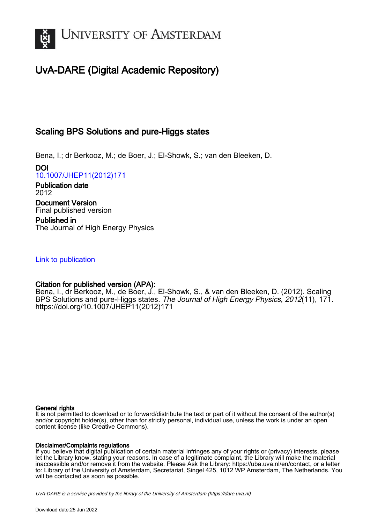

# UvA-DARE (Digital Academic Repository)

# Scaling BPS Solutions and pure-Higgs states

Bena, I.; dr Berkooz, M.; de Boer, J.; El-Showk, S.; van den Bleeken, D.

DOI [10.1007/JHEP11\(2012\)171](https://doi.org/10.1007/JHEP11(2012)171)

Publication date 2012 Document Version Final published version

Published in The Journal of High Energy Physics

# [Link to publication](https://dare.uva.nl/personal/pure/en/publications/scaling-bps-solutions-and-purehiggs-states(b0494615-ded1-4c4b-a4cf-35e2491f0f76).html)

# Citation for published version (APA):

Bena, I., dr Berkooz, M., de Boer, J., El-Showk, S., & van den Bleeken, D. (2012). Scaling BPS Solutions and pure-Higgs states. The Journal of High Energy Physics, 2012(11), 171. [https://doi.org/10.1007/JHEP11\(2012\)171](https://doi.org/10.1007/JHEP11(2012)171)

# General rights

It is not permitted to download or to forward/distribute the text or part of it without the consent of the author(s) and/or copyright holder(s), other than for strictly personal, individual use, unless the work is under an open content license (like Creative Commons).

# Disclaimer/Complaints regulations

If you believe that digital publication of certain material infringes any of your rights or (privacy) interests, please let the Library know, stating your reasons. In case of a legitimate complaint, the Library will make the material inaccessible and/or remove it from the website. Please Ask the Library: https://uba.uva.nl/en/contact, or a letter to: Library of the University of Amsterdam, Secretariat, Singel 425, 1012 WP Amsterdam, The Netherlands. You will be contacted as soon as possible.

UvA-DARE is a service provided by the library of the University of Amsterdam (http*s*://dare.uva.nl)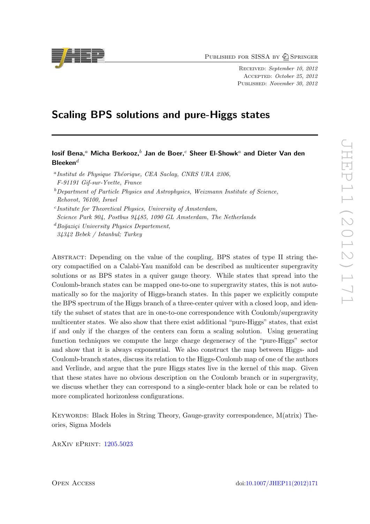PUBLISHED FOR SISSA BY 2 SPRINGER

Received: September 10, 2012 Accepted: October 25, 2012 PUBLISHED: November 30, 2012

# Scaling BPS solutions and pure-Higgs states

 $\textsf{Iosif Bena},^a$  Micha Berkooz, $^b$  Jan de Boer, $^c$  Sheer El-Showk<sup>a</sup> and Dieter Van den Bleeken $^d$ 

- <sup>a</sup> Institut de Physique Théorique, CEA Saclay, CNRS URA 2306, F-91191 Gif-sur-Yvette, France
- $b$ Department of Particle Physics and Astrophysics, Weizmann Institute of Science, Rehovot, 76100, Israel
- c Institute for Theoretical Physics, University of Amsterdam,
- Science Park 904, Postbus 94485, 1090 GL Amsterdam, The Netherlands
- ${}^d$ Boğaziçi University Physics Departement, 34342 Bebek / Istanbul; Turkey

Abstract: Depending on the value of the coupling, BPS states of type II string theory compactified on a Calabi-Yau manifold can be described as multicenter supergravity solutions or as BPS states in a quiver gauge theory. While states that spread into the Coulomb-branch states can be mapped one-to-one to supergravity states, this is not automatically so for the majority of Higgs-branch states. In this paper we explicitly compute the BPS spectrum of the Higgs branch of a three-center quiver with a closed loop, and identify the subset of states that are in one-to-one correspondence with Coulomb/supergravity multicenter states. We also show that there exist additional "pure-Higgs" states, that exist if and only if the charges of the centers can form a scaling solution. Using generating function techniques we compute the large charge degeneracy of the "pure-Higgs" sector and show that it is always exponential. We also construct the map between Higgs- and Coulomb-branch states, discuss its relation to the Higgs-Coulomb map of one of the authors and Verlinde, and argue that the pure Higgs states live in the kernel of this map. Given that these states have no obvious description on the Coulomb branch or in supergravity, we discuss whether they can correspond to a single-center black hole or can be related to more complicated horizonless configurations.

Keywords: Black Holes in String Theory, Gauge-gravity correspondence, M(atrix) Theories, Sigma Models

ArXiv ePrint: [1205.5023](http://arxiv.org/abs/1205.5023)

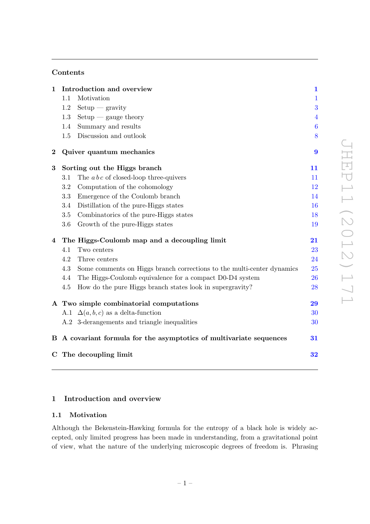# Contents

| $\mathbf 1$ | Introduction and overview                    |                                                                        | $\mathbf{1}$     |
|-------------|----------------------------------------------|------------------------------------------------------------------------|------------------|
|             | 1.1                                          | Motivation                                                             | $\mathbf{1}$     |
|             | 1.2                                          | $Setup - gravity$                                                      | 3                |
|             | 1.3                                          | $Setup - gauge theory$                                                 | $\overline{4}$   |
|             | 1.4                                          | Summary and results                                                    | $\boldsymbol{6}$ |
|             | 1.5                                          | Discussion and outlook                                                 | 8                |
| $\bf{2}$    |                                              | Quiver quantum mechanics                                               | $\boldsymbol{9}$ |
| 3           | Sorting out the Higgs branch                 |                                                                        | 11               |
|             | 3.1                                          | The $abc$ of closed-loop three-quivers                                 | 11               |
|             | 3.2                                          | Computation of the cohomology                                          | 12               |
|             | 3.3                                          | Emergence of the Coulomb branch                                        | 14               |
|             | 3.4                                          | Distillation of the pure-Higgs states                                  | 16               |
|             | 3.5                                          | Combinatorics of the pure-Higgs states                                 | 18               |
|             | 3.6                                          | Growth of the pure-Higgs states                                        | 19               |
| 4           | The Higgs-Coulomb map and a decoupling limit |                                                                        | $\bf{21}$        |
|             | 4.1                                          | Two centers                                                            | 23               |
|             | 4.2                                          | Three centers                                                          | 24               |
|             | 4.3                                          | Some comments on Higgs branch corrections to the multi-center dynamics | 25               |
|             | 4.4                                          | The Higgs-Coulomb equivalence for a compact D0-D4 system               | 26               |
|             | 4.5                                          | How do the pure Higgs branch states look in supergravity?              | 28               |
|             | A Two simple combinatorial computations      |                                                                        | 29               |
|             |                                              | A.1 $\Delta(a, b, c)$ as a delta-function                              | 30               |
|             |                                              | A.2 3-derangements and triangle inequalities                           | 30               |
|             |                                              | B A covariant formula for the asymptotics of multivariate sequences    | 31               |
|             |                                              | C The decoupling limit                                                 | 32               |
|             |                                              |                                                                        |                  |

# <span id="page-2-0"></span>1 Introduction and overview

# <span id="page-2-1"></span>1.1 Motivation

Although the Bekenstein-Hawking formula for the entropy of a black hole is widely accepted, only limited progress has been made in understanding, from a gravitational point of view, what the nature of the underlying microscopic degrees of freedom is. Phrasing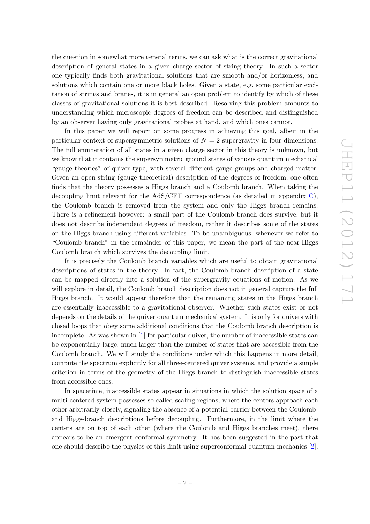the question in somewhat more general terms, we can ask what is the correct gravitational description of general states in a given charge sector of string theory. In such a sector one typically finds both gravitational solutions that are smooth and/or horizonless, and solutions which contain one or more black holes. Given a state, e.g. some particular excitation of strings and branes, it is in general an open problem to identify by which of these classes of gravitational solutions it is best described. Resolving this problem amounts to understanding which microscopic degrees of freedom can be described and distinguished by an observer having only gravitational probes at hand, and which ones cannot.

In this paper we will report on some progress in achieving this goal, albeit in the particular context of supersymmetric solutions of  $N = 2$  supergravity in four dimensions. The full enumeration of all states in a given charge sector in this theory is unknown, but we know that it contains the supersymmetric ground states of various quantum mechanical "gauge theories" of quiver type, with several different gauge groups and charged matter. Given an open string (gauge theoretical) description of the degrees of freedom, one often finds that the theory possesses a Higgs branch and a Coulomb branch. When taking the decoupling limit relevant for the AdS/CFT correspondence (as detailed in appendix [C\)](#page-33-0), the Coulomb branch is removed from the system and only the Higgs branch remains. There is a refinement however: a small part of the Coulomb branch does survive, but it does not describe independent degrees of freedom, rather it describes some of the states on the Higgs branch using different variables. To be unambiguous, whenever we refer to "Coulomb branch" in the remainder of this paper, we mean the part of the near-Higgs Coulomb branch which survives the decoupling limit.

It is precisely the Coulomb branch variables which are useful to obtain gravitational descriptions of states in the theory. In fact, the Coulomb branch description of a state can be mapped directly into a solution of the supergravity equations of motion. As we will explore in detail, the Coulomb branch description does not in general capture the full Higgs branch. It would appear therefore that the remaining states in the Higgs branch are essentially inaccessible to a gravitational observer. Whether such states exist or not depends on the details of the quiver quantum mechanical system. It is only for quivers with closed loops that obey some additional conditions that the Coulomb branch description is incomplete. As was shown in [\[1\]](#page-35-0) for particular quiver, the number of inaccessible states can be exponentially large, much larger than the number of states that are accessible from the Coulomb branch. We will study the conditions under which this happens in more detail, compute the spectrum explicitly for all three-centered quiver systems, and provide a simple criterion in terms of the geometry of the Higgs branch to distinguish inaccessible states from accessible ones.

In spacetime, inaccessible states appear in situations in which the solution space of a multi-centered system possesses so-called scaling regions, where the centers approach each other arbitrarily closely, signaling the absence of a potential barrier between the Coulomband Higgs-branch descriptions before decoupling. Furthermore, in the limit where the centers are on top of each other (where the Coulomb and Higgs branches meet), there appears to be an emergent conformal symmetry. It has been suggested in the past that one should describe the physics of this limit using superconformal quantum mechanics [\[2\]](#page-35-1),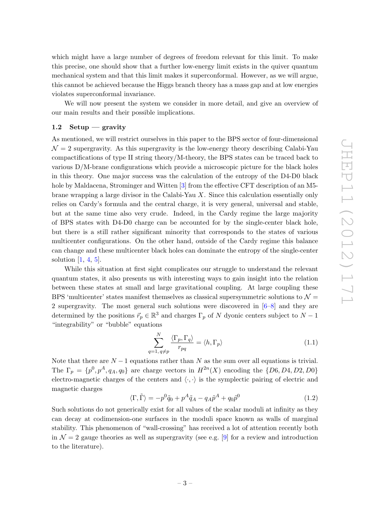which might have a large number of degrees of freedom relevant for this limit. To make this precise, one should show that a further low-energy limit exists in the quiver quantum mechanical system and that this limit makes it superconformal. However, as we will argue, this cannot be achieved because the Higgs branch theory has a mass gap and at low energies violates superconformal invariance.

We will now present the system we consider in more detail, and give an overview of our main results and their possible implications.

#### <span id="page-4-0"></span>1.2 Setup — gravity

As mentioned, we will restrict ourselves in this paper to the BPS sector of four-dimensional  $\mathcal{N}=2$  supergravity. As this supergravity is the low-energy theory describing Calabi-Yau compactifications of type II string theory/M-theory, the BPS states can be traced back to various D/M-brane configurations which provide a microscopic picture for the black holes in this theory. One major success was the calculation of the entropy of the D4-D0 black hole by Maldacena, Strominger and Witten [\[3\]](#page-35-2) from the effective CFT description of an M5brane wrapping a large divisor in the Calabi-Yau X. Since this calculation essentially only relies on Cardy's formula and the central charge, it is very general, universal and stable, but at the same time also very crude. Indeed, in the Cardy regime the large majority of BPS states with D4-D0 charge can be accounted for by the single-center black hole, but there is a still rather significant minority that corresponds to the states of various multicenter configurations. On the other hand, outside of the Cardy regime this balance can change and these multicenter black holes can dominate the entropy of the single-center solution  $\left[1, 4, 5\right]$  $\left[1, 4, 5\right]$  $\left[1, 4, 5\right]$ .

While this situation at first sight complicates our struggle to understand the relevant quantum states, it also presents us with interesting ways to gain insight into the relation between these states at small and large gravitational coupling. At large coupling these BPS 'multicenter' states manifest themselves as classical supersymmetric solutions to  $\mathcal{N} =$ 2 supergravity. The most general such solutions were discovered in  $[6-8]$  $[6-8]$  and they are determined by the positions  $\vec{r}_p \in \mathbb{R}^3$  and charges  $\Gamma_p$  of N dyonic centers subject to  $N-1$ "integrability" or "bubble" equations

<span id="page-4-1"></span>
$$
\sum_{q=1, q \neq p}^{N} \frac{\langle \Gamma_p, \Gamma_q \rangle}{r_{pq}} = \langle h, \Gamma_p \rangle \tag{1.1}
$$

Note that there are  $N-1$  equations rather than N as the sum over all equations is trivial. The  $\Gamma_p = \{p^0, p^A, q_A, q_0\}$  are charge vectors in  $H^{2n}(X)$  encoding the  $\{D6, D4, D2, D0\}$ electro-magnetic charges of the centers and  $\langle \cdot, \cdot \rangle$  is the symplectic pairing of electric and magnetic charges

$$
\langle \Gamma, \tilde{\Gamma} \rangle = -p^0 \tilde{q}_0 + p^A \tilde{q}_A - q_A \tilde{p}^A + q_0 \tilde{p}^0 \tag{1.2}
$$

Such solutions do not generically exist for all values of the scalar moduli at infinity as they can decay at codimension-one surfaces in the moduli space known as walls of marginal stability. This phenomenon of "wall-crossing" has received a lot of attention recently both in  $\mathcal{N}=2$  gauge theories as well as supergravity (see e.g. [\[9\]](#page-35-7) for a review and introduction to the literature).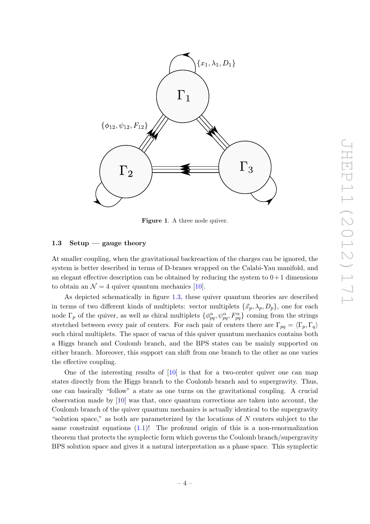

Figure 1. A three node quiver.

# <span id="page-5-0"></span>1.3 Setup — gauge theory

At smaller coupling, when the gravitational backreaction of the charges can be ignored, the system is better described in terms of D-branes wrapped on the Calabi-Yau manifold, and an elegant effective description can be obtained by reducing the system to  $0+1$  dimensions to obtain an  $\mathcal{N} = 4$  quiver quantum mechanics [\[10\]](#page-35-8).

As depicted schematically in figure [1.3,](#page-5-0) these quiver quantum theories are described in terms of two different kinds of multiplets: vector multiplets  $\{\vec{x}_p, \lambda_p, D_p\}$ , one for each node  $\Gamma_p$  of the quiver, as well as chiral multiplets  $\{\phi_{pq}^{\alpha}, \psi_{pq}^{\alpha}, F_{pq}^{\alpha}\}\)$  coming from the strings stretched between every pair of centers. For each pair of centers there are  $\Gamma_{pq} = \langle \Gamma_p, \Gamma_q \rangle$ such chiral multiplets. The space of vacua of this quiver quantum mechanics contains both a Higgs branch and Coulomb branch, and the BPS states can be mainly supported on either branch. Moreover, this support can shift from one branch to the other as one varies the effective coupling.

One of the interesting results of  $[10]$  is that for a two-center quiver one can map states directly from the Higgs branch to the Coulomb branch and to supergravity. Thus, one can basically "follow" a state as one turns on the gravitational coupling. A crucial observation made by [\[10\]](#page-35-8) was that, once quantum corrections are taken into account, the Coulomb branch of the quiver quantum mechanics is actually identical to the supergravity "solution space," as both are parameterized by the locations of  $N$  centers subject to the same constraint equations  $(1.1)!$  The profound origin of this is a non-renormalization theorem that protects the symplectic form which governs the Coulomb branch/supergravity BPS solution space and gives it a natural interpretation as a phase space. This symplectic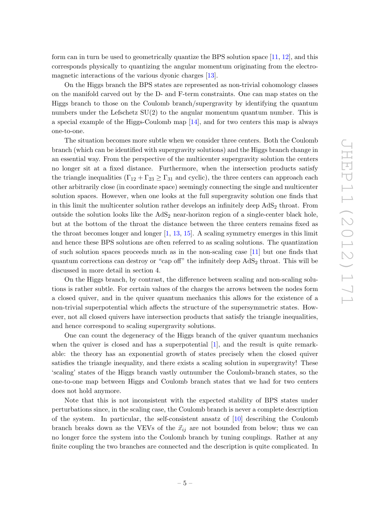form can in turn be used to geometrically quantize the BPS solution space [\[11,](#page-35-9) [12\]](#page-36-0), and this corresponds physically to quantizing the angular momentum originating from the electromagnetic interactions of the various dyonic charges [\[13\]](#page-36-1).

On the Higgs branch the BPS states are represented as non-trivial cohomology classes on the manifold carved out by the D- and F-term constraints. One can map states on the Higgs branch to those on the Coulomb branch/supergravity by identifying the quantum numbers under the Lefschetz  $SU(2)$  to the angular momentum quantum number. This is a special example of the Higgs-Coulomb map [\[14\]](#page-36-2), and for two centers this map is always one-to-one.

The situation becomes more subtle when we consider three centers. Both the Coulomb branch (which can be identified with supergravity solutions) and the Higgs branch change in an essential way. From the perspective of the multicenter supergravity solution the centers no longer sit at a fixed distance. Furthermore, when the intersection products satisfy the triangle inequalities  $(\Gamma_{12} + \Gamma_{23} \geq \Gamma_{31}$  and cyclic), the three centers can approach each other arbitrarily close (in coordinate space) seemingly connecting the single and multicenter solution spaces. However, when one looks at the full supergravity solution one finds that in this limit the multicenter solution rather develops an infinitely deep  $AdS<sub>2</sub>$  throat. From outside the solution looks like the  $AdS_2$  near-horizon region of a single-center black hole, but at the bottom of the throat the distance between the three centers remains fixed as the throat becomes longer and longer  $[1, 13, 15]$  $[1, 13, 15]$  $[1, 13, 15]$  $[1, 13, 15]$ . A scaling symmetry emerges in this limit and hence these BPS solutions are often referred to as scaling solutions. The quantization of such solution spaces proceeds much as in the non-scaling case [\[11\]](#page-35-9) but one finds that quantum corrections can destroy or "cap off" the infinitely deep  $AdS<sub>2</sub>$  throat. This will be discussed in more detail in section 4.

On the Higgs branch, by contrast, the difference between scaling and non-scaling solutions is rather subtle. For certain values of the charges the arrows between the nodes form a closed quiver, and in the quiver quantum mechanics this allows for the existence of a non-trivial superpotential which affects the structure of the supersymmetric states. However, not all closed quivers have intersection products that satisfy the triangle inequalities, and hence correspond to scaling supergravity solutions.

One can count the degeneracy of the Higgs branch of the quiver quantum mechanics when the quiver is closed and has a superpotential  $[1]$ , and the result is quite remarkable: the theory has an exponential growth of states precisely when the closed quiver satisfies the triangle inequality, and there exists a scaling solution in supergravity! These 'scaling' states of the Higgs branch vastly outnumber the Coulomb-branch states, so the one-to-one map between Higgs and Coulomb branch states that we had for two centers does not hold anymore.

Note that this is not inconsistent with the expected stability of BPS states under perturbations since, in the scaling case, the Coulomb branch is never a complete description of the system. In particular, the self-consistent ansatz of [\[10\]](#page-35-8) describing the Coulomb branch breaks down as the VEVs of the  $\vec{x}_{ij}$  are not bounded from below; thus we can no longer force the system into the Coulomb branch by tuning couplings. Rather at any finite coupling the two branches are connected and the description is quite complicated. In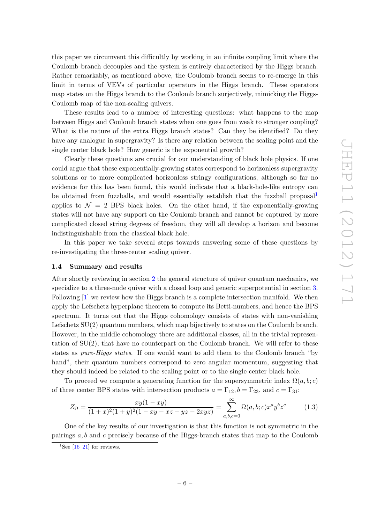this paper we circumvent this difficultly by working in an infinite coupling limit where the Coulomb branch decouples and the system is entirely characterized by the Higgs branch. Rather remarkably, as mentioned above, the Coulomb branch seems to re-emerge in this limit in terms of VEVs of particular operators in the Higgs branch. These operators map states on the Higgs branch to the Coulomb branch surjectively, mimicking the Higgs-Coulomb map of the non-scaling quivers.

These results lead to a number of interesting questions: what happens to the map between Higgs and Coulomb branch states when one goes from weak to stronger coupling? What is the nature of the extra Higgs branch states? Can they be identified? Do they have any analogue in supergravity? Is there any relation between the scaling point and the single center black hole? How generic is the exponential growth?

Clearly these questions are crucial for our understanding of black hole physics. If one could argue that these exponentially-growing states correspond to horizonless supergravity solutions or to more complicated horizonless stringy configurations, although so far no evidence for this has been found, this would indicate that a black-hole-like entropy can be obtained from fuzzballs, and would essentially establish that the fuzzball proposal applies to  $\mathcal{N} = 2$  BPS black holes. On the other hand, if the exponentially-growing states will not have any support on the Coulomb branch and cannot be captured by more complicated closed string degrees of freedom, they will all develop a horizon and become indistinguishable from the classical black hole.

In this paper we take several steps towards answering some of these questions by re-investigating the three-center scaling quiver.

#### <span id="page-7-0"></span>1.4 Summary and results

After shortly reviewing in section [2](#page-10-0) the general structure of quiver quantum mechanics, we specialize to a three-node quiver with a closed loop and generic superpotential in section [3.](#page-12-0) Following [\[1\]](#page-35-0) we review how the Higgs branch is a complete intersection manifold. We then apply the Lefschetz hyperplane theorem to compute its Betti-numbers, and hence the BPS spectrum. It turns out that the Higgs cohomology consists of states with non-vanishing Lefschetz SU(2) quantum numbers, which map bijectively to states on the Coulomb branch. However, in the middle cohomology there are additional classes, all in the trivial representation of SU(2), that have no counterpart on the Coulomb branch. We will refer to these states as pure-Higgs states. If one would want to add them to the Coulomb branch "by hand", their quantum numbers correspond to zero angular momentum, suggesting that they should indeed be related to the scaling point or to the single center black hole.

To proceed we compute a generating function for the supersymmetric index  $\Omega(a, b; c)$ of three center BPS states with intersection products  $a = \Gamma_{12}$ ,  $b = \Gamma_{23}$ , and  $c = \Gamma_{31}$ :

$$
Z_{\Omega} = \frac{xy(1 - xy)}{(1 + x)^2(1 + y)^2(1 - xy - xz - yz - 2xyz)} = \sum_{a,b,c=0}^{\infty} \Omega(a,b;c)x^a y^b z^c \tag{1.3}
$$

One of the key results of our investigation is that this function is not symmetric in the pairings  $a, b$  and c precisely because of the Higgs-branch states that map to the Coulomb

<span id="page-7-1"></span><sup>&</sup>lt;sup>1</sup>See  $[16-21]$  $[16-21]$  for reviews.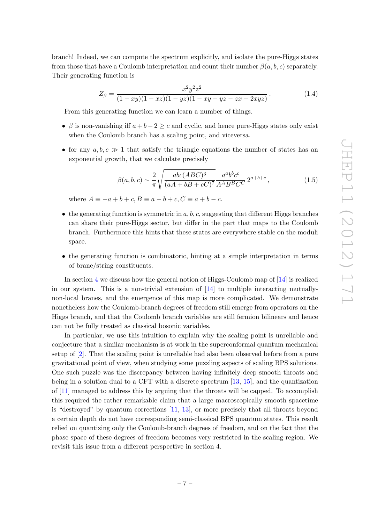branch! Indeed, we can compute the spectrum explicitly, and isolate the pure-Higgs states from those that have a Coulomb interpretation and count their number  $\beta(a, b, c)$  separately. Their generating function is

$$
Z_{\beta} = \frac{x^2 y^2 z^2}{(1 - xy)(1 - xz)(1 - yz)(1 - xy - yz - zx - 2xyz)}.
$$
 (1.4)

From this generating function we can learn a number of things.

- $\beta$  is non-vanishing iff  $a + b 2 > c$  and cyclic, and hence pure-Higgs states only exist when the Coulomb branch has a scaling point, and viceversa.
- for any  $a, b, c \gg 1$  that satisfy the triangle equations the number of states has an exponential growth, that we calculate precisely

$$
\beta(a, b, c) \sim \frac{2}{\pi} \sqrt{\frac{abc(ABC)^3}{(aA + bB + cC)^7} \frac{a^a b^b c^c}{A^A B^B C^C}} 2^{a+b+c}, \qquad (1.5)
$$

where  $A \equiv -a + b + c$ ,  $B \equiv a - b + c$ ,  $C \equiv a + b - c$ .

- $\bullet$  the generating function is symmetric in  $a, b, c$ , suggesting that different Higgs branches can share their pure-Higgs sector, but differ in the part that maps to the Coulomb branch. Furthermore this hints that these states are everywhere stable on the moduli space.
- the generating function is combinatoric, hinting at a simple interpretation in terms of brane/string constituents.

In section [4](#page-22-0) we discuss how the general notion of Higgs-Coulomb map of [\[14\]](#page-36-2) is realized in our system. This is a non-trivial extension of [\[14\]](#page-36-2) to multiple interacting mutuallynon-local branes, and the emergence of this map is more complicated. We demonstrate nonetheless how the Coulomb-branch degrees of freedom still emerge from operators on the Higgs branch, and that the Coulomb branch variables are still fermion bilinears and hence can not be fully treated as classical bosonic variables.

In particular, we use this intuition to explain why the scaling point is unreliable and conjecture that a similar mechanism is at work in the superconformal quantum mechanical setup of [\[2\]](#page-35-1). That the scaling point is unreliable had also been observed before from a pure gravitational point of view, when studying some puzzling aspects of scaling BPS solutions. One such puzzle was the discrepancy between having infinitely deep smooth throats and being in a solution dual to a CFT with a discrete spectrum [\[13,](#page-36-1) [15\]](#page-36-3), and the quantization of [\[11\]](#page-35-9) managed to address this by arguing that the throats will be capped. To accomplish this required the rather remarkable claim that a large macroscopically smooth spacetime is "destroyed" by quantum corrections [\[11,](#page-35-9) [13\]](#page-36-1), or more precisely that all throats beyond a certain depth do not have corresponding semi-classical BPS quantum states. This result relied on quantizing only the Coulomb-branch degrees of freedom, and on the fact that the phase space of these degrees of freedom becomes very restricted in the scaling region. We revisit this issue from a different perspective in section 4.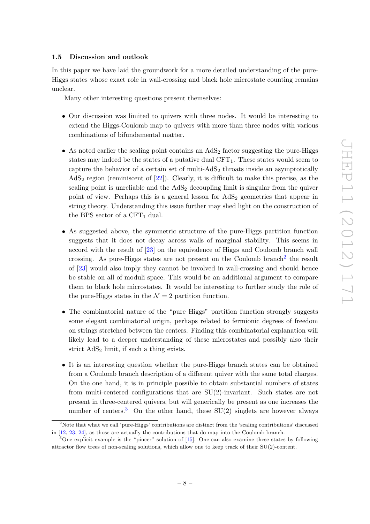# <span id="page-9-0"></span>1.5 Discussion and outlook

In this paper we have laid the groundwork for a more detailed understanding of the pure-Higgs states whose exact role in wall-crossing and black hole microstate counting remains unclear.

Many other interesting questions present themselves:

- Our discussion was limited to quivers with three nodes. It would be interesting to extend the Higgs-Coulomb map to quivers with more than three nodes with various combinations of bifundamental matter.
- As noted earlier the scaling point contains an  $AdS<sub>2</sub>$  factor suggesting the pure-Higgs states may indeed be the states of a putative dual  $CFT_1$ . These states would seem to capture the behavior of a certain set of multi- $AdS<sub>2</sub>$  throats inside an asymptotically  $AdS<sub>2</sub>$  region (reminiscent of  $[22]$ ). Clearly, it is difficult to make this precise, as the scaling point is unreliable and the  $AdS<sub>2</sub>$  decoupling limit is singular from the quiver point of view. Perhaps this is a general lesson for  $AdS<sub>2</sub>$  geometries that appear in string theory. Understanding this issue further may shed light on the construction of the BPS sector of a CFT<sub>1</sub> dual.
- As suggested above, the symmetric structure of the pure-Higgs partition function suggests that it does not decay across walls of marginal stability. This seems in accord with the result of [\[23\]](#page-36-7) on the equivalence of Higgs and Coulomb branch wall crossing. As pure-Higgs states are not present on the Coulomb branch<sup>[2](#page-9-1)</sup> the result of [\[23\]](#page-36-7) would also imply they cannot be involved in wall-crossing and should hence be stable on all of moduli space. This would be an additional argument to compare them to black hole microstates. It would be interesting to further study the role of the pure-Higgs states in the  $\mathcal{N}=2$  partition function.
- The combinatorial nature of the "pure Higgs" partition function strongly suggests some elegant combinatorial origin, perhaps related to fermionic degrees of freedom on strings stretched between the centers. Finding this combinatorial explanation will likely lead to a deeper understanding of these microstates and possibly also their strict  $AdS<sub>2</sub>$  limit, if such a thing exists.
- It is an interesting question whether the pure-Higgs branch states can be obtained from a Coulomb branch description of a different quiver with the same total charges. On the one hand, it is in principle possible to obtain substantial numbers of states from multi-centered configurations that are SU(2)-invariant. Such states are not present in three-centered quivers, but will generically be present as one increases the number of centers.<sup>[3](#page-9-2)</sup> On the other hand, these  $SU(2)$  singlets are however always

<span id="page-9-1"></span><sup>&</sup>lt;sup>2</sup>Note that what we call 'pure-Higgs' contributions are distinct from the 'scaling contributions' discussed in [\[12,](#page-36-0) [23,](#page-36-7) [24\]](#page-36-8), as those are actually the contributions that do map into the Coulomb branch.

<span id="page-9-2"></span><sup>&</sup>lt;sup>3</sup>One explicit example is the "pincer" solution of [\[15\]](#page-36-3). One can also examine these states by following attractor flow trees of non-scaling solutions, which allow one to keep track of their SU(2)-content.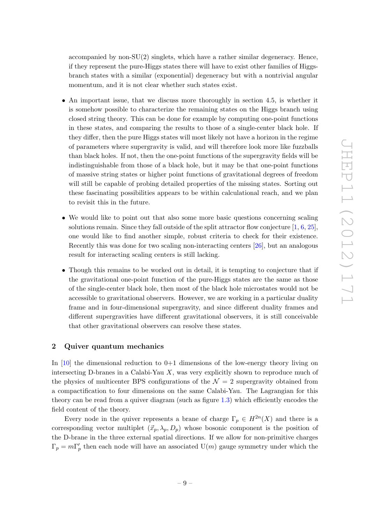accompanied by non- $SU(2)$  singlets, which have a rather similar degeneracy. Hence, if they represent the pure-Higgs states there will have to exist other families of Higgsbranch states with a similar (exponential) degeneracy but with a nontrivial angular momentum, and it is not clear whether such states exist.

- An important issue, that we discuss more thoroughly in section 4.5, is whether it is somehow possible to characterize the remaining states on the Higgs branch using closed string theory. This can be done for example by computing one-point functions in these states, and comparing the results to those of a single-center black hole. If they differ, then the pure Higgs states will most likely not have a horizon in the regime of parameters where supergravity is valid, and will therefore look more like fuzzballs than black holes. If not, then the one-point functions of the supergravity fields will be indistinguishable from those of a black hole, but it may be that one-point functions of massive string states or higher point functions of gravitational degrees of freedom will still be capable of probing detailed properties of the missing states. Sorting out these fascinating possibilities appears to be within calculational reach, and we plan to revisit this in the future.
- We would like to point out that also some more basic questions concerning scaling solutions remain. Since they fall outside of the split attractor flow conjecture  $[1, 6, 25]$  $[1, 6, 25]$  $[1, 6, 25]$  $[1, 6, 25]$ , one would like to find another simple, robust criteria to check for their existence. Recently this was done for two scaling non-interacting centers [\[26\]](#page-36-10), but an analogous result for interacting scaling centers is still lacking.
- Though this remains to be worked out in detail, it is tempting to conjecture that if the gravitational one-point function of the pure-Higgs states are the same as those of the single-center black hole, then most of the black hole microstates would not be accessible to gravitational observers. However, we are working in a particular duality frame and in four-dimensional supergravity, and since different duality frames and different supergravities have different gravitational observers, it is still conceivable that other gravitational observers can resolve these states.

# <span id="page-10-0"></span>2 Quiver quantum mechanics

In  $[10]$  the dimensional reduction to  $0+1$  dimensions of the low-energy theory living on intersecting D-branes in a Calabi-Yau  $X$ , was very explicitly shown to reproduce much of the physics of multicenter BPS configurations of the  $\mathcal{N}=2$  supergravity obtained from a compactification to four dimensions on the same Calabi-Yau. The Lagrangian for this theory can be read from a quiver diagram (such as figure [1.3\)](#page-5-0) which efficiently encodes the field content of the theory.

Every node in the quiver represents a brane of charge  $\Gamma_p \in H^{2n}(X)$  and there is a corresponding vector multiplet  $(\vec{x}_p, \lambda_p, D_p)$  whose bosonic component is the position of the D-brane in the three external spatial directions. If we allow for non-primitive charges  $\Gamma_p = m \Gamma'_p$  then each node will have an associated  $\mathrm{U}(m)$  gauge symmetry under which the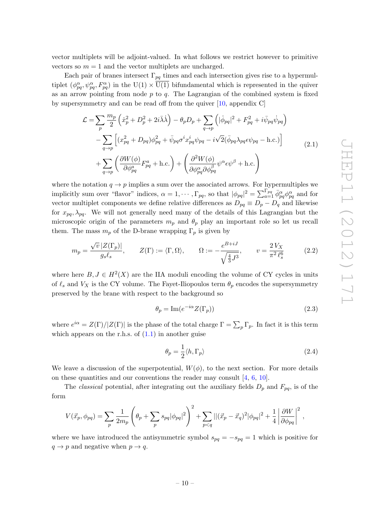vector multiplets will be adjoint-valued. In what follows we restrict however to primitive vectors so  $m = 1$  and the vector multiplets are uncharged.

Each pair of branes intersect  $\Gamma_{pq}$  times and each intersection gives rise to a hypermultiplet  $(\phi_{pq}^{\alpha}, \psi_{pq}^{\alpha}, F_{pq}^{\alpha})$  in the U(1)  $\times$  U(1) bifundamental which is represented in the quiver as an arrow pointing from node  $p$  to  $q$ . The Lagrangian of the combined system is fixed by supersymmetry and can be read off from the quiver [\[10,](#page-35-8) appendix C]

<span id="page-11-0"></span>
$$
\mathcal{L} = \sum_{p} \frac{m_p}{2} \left( \dot{x}_p^2 + D_p^2 + 2i\bar{\lambda}\dot{\lambda} \right) - \theta_p D_p + \sum_{q \to p} \left( |\dot{\phi}_{pq}|^2 + F_{pq}^2 + i\bar{\psi}_{pq} \dot{\psi}_{pq} \right) \n- \sum_{q \to p} \left[ (x_{pq}^2 + D_{pq}) \phi_{pq}^2 + \bar{\psi}_{pq} \sigma^i x_{pq}^i \psi_{pq} - i\sqrt{2} (\bar{\phi}_{pq} \lambda_{pq} \epsilon \psi_{pq} - \text{h.c.}) \right] \n+ \sum_{q \to p} \left( \frac{\partial W(\phi)}{\partial \phi_{pq}^a} F_{pq}^a + \text{h.c.} \right) + \left( \frac{\partial^2 W(\phi)}{\partial \phi_{pq}^{\alpha} \partial \phi_{pq}^{\beta}} \psi^{\alpha} \epsilon \psi^{\beta} + \text{h.c.} \right)
$$
\n(2.1)

where the notation  $q \to p$  implies a sum over the associated arrows. For hypermultiples we implicitly sum over "flavor" indices,  $\alpha = 1, \cdots, \Gamma_{pq}$ , so that  $|\phi_{pq}|^2 = \sum_{a=1}^{\Gamma_{pq}} \bar{\phi}_{pq}^{\alpha} \phi_{pq}^{\alpha}$  and for vector multiplet components we define relative differences as  $D_{pq} \equiv D_p - D_q$  and likewise for  $x_{pq}, \lambda_{pq}$ . We will not generally need many of the details of this Lagrangian but the microscopic origin of the parameters  $m_p$  and  $\theta_p$  play an important role so let us recall them. The mass  $m_p$  of the D-brane wrapping  $\Gamma_p$  is given by

<span id="page-11-2"></span>
$$
m_p = \frac{\sqrt{v} |Z(\Gamma_p)|}{g_s \ell_s}, \qquad Z(\Gamma) := \langle \Gamma, \Omega \rangle, \qquad \Omega := -\frac{e^{B+iJ}}{\sqrt{\frac{4}{3}J^3}}, \qquad v = \frac{2V_X}{\pi^2 \ell_s^6} \tag{2.2}
$$

where here  $B, J \in H^2(X)$  are the IIA moduli encoding the volume of CY cycles in units of  $\ell_s$  and  $V_X$  is the CY volume. The Fayet-Iliopoulos term  $\theta_p$  encodes the supersymmetry preserved by the brane with respect to the background so

<span id="page-11-3"></span>
$$
\theta_p = \text{Im}(e^{-i\alpha}Z(\Gamma_p))\tag{2.3}
$$

where  $e^{i\alpha} = Z(\Gamma)/|Z(\Gamma)|$  is the phase of the total charge  $\Gamma = \sum_p \Gamma_p$ . In fact it is this term which appears on the r.h.s. of  $(1.1)$  in another guise

<span id="page-11-1"></span>
$$
\theta_p = \frac{1}{2} \langle h, \Gamma_p \rangle \tag{2.4}
$$

We leave a discussion of the superpotential,  $W(\phi)$ , to the next section. For more details on these quantities and our conventions the reader may consult [\[4,](#page-35-3) [6,](#page-35-5) [10\]](#page-35-8).

The *classical* potential, after integrating out the auxiliary fields  $D_p$  and  $F_{pq}$ , is of the form

$$
V(\vec{x}_p, \phi_{pq}) = \sum_p \frac{1}{2m_p} \left( \theta_p + \sum_p s_{pq} |\phi_{pq}|^2 \right)^2 + \sum_{p < q} ||(\vec{x}_p - \vec{x}_q)^2| \phi_{pq}|^2 + \frac{1}{4} \left| \frac{\partial W}{\partial \phi_{pq}} \right|^2,
$$

where we have introduced the antisymmetric symbol  $s_{pq} = -s_{pq} = 1$  which is positive for  $q \rightarrow p$  and negative when  $p \rightarrow q$ .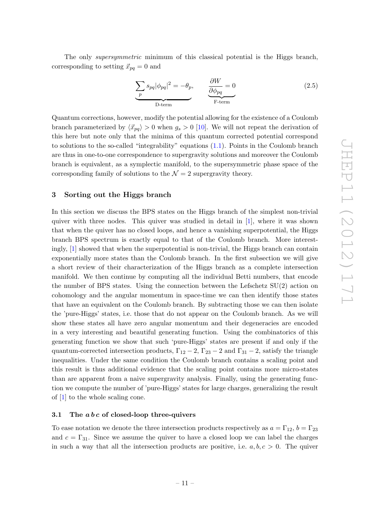The only supersymmetric minimum of this classical potential is the Higgs branch, corresponding to setting  $\vec{x}_{pq} = 0$  and

$$
\underbrace{\sum_{p} s_{pq} |\phi_{pq}|^2 = -\theta_p}_{\text{D-term}}, \qquad \underbrace{\frac{\partial W}{\partial \phi_{pq}} = 0}_{\text{F-term}} \tag{2.5}
$$

Quantum corrections, however, modify the potential allowing for the existence of a Coulomb branch parameterized by  $\langle \vec{x}_{pq} \rangle > 0$  when  $g_s > 0$  [\[10\]](#page-35-8). We will not repeat the derivation of this here but note only that the minima of this quantum corrected potential correspond to solutions to the so-called "integrability" equations [\(1.1\)](#page-4-1). Points in the Coulomb branch are thus in one-to-one correspondence to supergravity solutions and moreover the Coulomb branch is equivalent, as a symplectic manifold, to the supersymmetric phase space of the corresponding family of solutions to the  $\mathcal{N}=2$  supergravity theory.

# <span id="page-12-0"></span>3 Sorting out the Higgs branch

In this section we discuss the BPS states on the Higgs branch of the simplest non-trivial quiver with three nodes. This quiver was studied in detail in [\[1\]](#page-35-0), where it was shown that when the quiver has no closed loops, and hence a vanishing superpotential, the Higgs branch BPS spectrum is exactly equal to that of the Coulomb branch. More interestingly, [\[1\]](#page-35-0) showed that when the superpotential is non-trivial, the Higgs branch can contain exponentially more states than the Coulomb branch. In the first subsection we will give a short review of their characterization of the Higgs branch as a complete intersection manifold. We then continue by computing all the individual Betti numbers, that encode the number of BPS states. Using the connection between the Lefschetz SU(2) action on cohomology and the angular momentum in space-time we can then identify those states that have an equivalent on the Coulomb branch. By subtracting those we can then isolate the 'pure-Higgs' states, i.e. those that do not appear on the Coulomb branch. As we will show these states all have zero angular momentum and their degeneracies are encoded in a very interesting and beautiful generating function. Using the combinatorics of this generating function we show that such 'pure-Higgs' states are present if and only if the quantum-corrected intersection products,  $\Gamma_{12} - 2$ ,  $\Gamma_{23} - 2$  and  $\Gamma_{31} - 2$ , satisfy the triangle inequalities. Under the same condition the Coulomb branch contains a scaling point and this result is thus additional evidence that the scaling point contains more micro-states than are apparent from a naive supergravity analysis. Finally, using the generating function we compute the number of 'pure-Higgs' states for large charges, generalizing the result of [\[1\]](#page-35-0) to the whole scaling cone.

#### <span id="page-12-1"></span>3.1 The  $a b c$  of closed-loop three-quivers

To ease notation we denote the three intersection products respectively as  $a = \Gamma_{12}$ ,  $b = \Gamma_{23}$ and  $c = \Gamma_{31}$ . Since we assume the quiver to have a closed loop we can label the charges in such a way that all the intersection products are positive, i.e.  $a, b, c > 0$ . The quiver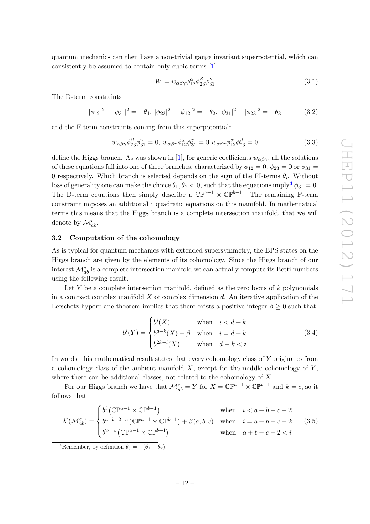quantum mechanics can then have a non-trivial gauge invariant superpotential, which can consistently be assumed to contain only cubic terms [\[1\]](#page-35-0):

$$
W = w_{\alpha\beta\gamma} \phi_{12}^{\alpha} \phi_{23}^{\beta} \phi_{31}^{\gamma}
$$
\n(3.1)

The D-term constraints

$$
|\phi_{12}|^2 - |\phi_{31}|^2 = -\theta_1, \, |\phi_{23}|^2 - |\phi_{12}|^2 = -\theta_2, \, |\phi_{31}|^2 - |\phi_{23}|^2 = -\theta_3 \tag{3.2}
$$

and the F-term constraints coming from this superpotential:

$$
w_{\alpha\beta\gamma}\phi_{23}^{\beta}\phi_{31}^{\gamma} = 0, w_{\alpha\beta\gamma}\phi_{12}^{\alpha}\phi_{31}^{\gamma} = 0 w_{\alpha\beta\gamma}\phi_{12}^{\alpha}\phi_{23}^{\beta} = 0
$$
\n(3.3)

define the Higgs branch. As was shown in [\[1\]](#page-35-0), for generic coefficients  $w_{\alpha\beta\gamma}$ , all the solutions of these equations fall into one of three branches, characterized by  $\phi_{12} = 0$ ,  $\phi_{23} = 0$  or  $\phi_{31} =$ 0 respectively. Which branch is selected depends on the sign of the FI-terms  $\theta_i$ . Without loss of generality one can make the choice  $\theta_1, \theta_2 < 0$ , such that the equations imply<sup>[4](#page-13-1)</sup>  $\phi_{31} = 0$ . The D-term equations then simply describe a  $\mathbb{CP}^{a-1} \times \mathbb{CP}^{b-1}$ . The remaining F-term constraint imposes an additional  $c$  quadratic equations on this manifold. In mathematical terms this means that the Higgs branch is a complete intersection manifold, that we will denote by  $\mathcal{M}^c_{ab}$ .

## <span id="page-13-0"></span>3.2 Computation of the cohomology

As is typical for quantum mechanics with extended supersymmetry, the BPS states on the Higgs branch are given by the elements of its cohomology. Since the Higgs branch of our interest  $\mathcal{M}_{ab}^c$  is a complete intersection manifold we can actually compute its Betti numbers using the following result.

Let Y be a complete intersection manifold, defined as the zero locus of  $k$  polynomials in a compact complex manifold  $X$  of complex dimension d. An iterative application of the Lefschetz hyperplane theorem implies that there exists a positive integer  $\beta \geq 0$  such that

$$
b^{i}(Y) = \begin{cases} b^{i}(X) & \text{when } i < d - k \\ b^{d-k}(X) + \beta & \text{when } i = d - k \\ b^{2k+i}(X) & \text{when } d - k < i \end{cases}
$$
 (3.4)

In words, this mathematical result states that every cohomology class of Y originates from a cohomology class of the ambient manifold  $X$ , except for the middle cohomology of  $Y$ , where there can be additional classes, not related to the cohomology of  $X$ .

For our Higgs branch we have that  $\mathcal{M}_{ab}^c = Y$  for  $X = \mathbb{CP}^{a-1} \times \mathbb{CP}^{b-1}$  and  $k = c$ , so it follows that

<span id="page-13-2"></span>
$$
b^{i}(\mathcal{M}_{ab}^{c}) = \begin{cases} b^{i} (\mathbb{CP}^{a-1} \times \mathbb{CP}^{b-1}) & \text{when } i < a+b-c-2\\ b^{a+b-2-c} (\mathbb{CP}^{a-1} \times \mathbb{CP}^{b-1}) + \beta(a, b; c) & \text{when } i = a+b-c-2\\ b^{2c+i} (\mathbb{CP}^{a-1} \times \mathbb{CP}^{b-1}) & \text{when } a+b-c-2 < i \end{cases} \tag{3.5}
$$

<span id="page-13-1"></span><sup>4</sup>Remember, by definition  $\theta_3 = -(\theta_1 + \theta_2)$ .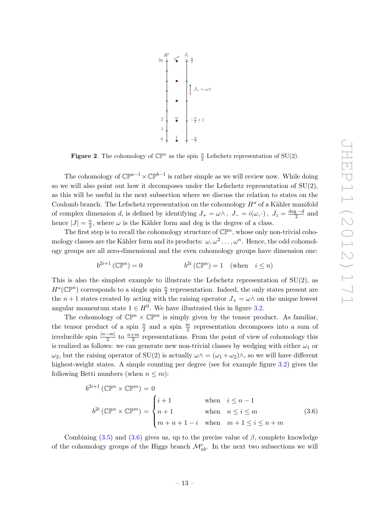

**Figure 2.** The cohomology of  $\mathbb{CP}^n$  as the spin  $\frac{n}{2}$  Lefschetz representation of SU(2).

The cohomology of  $\mathbb{CP}^{a-1} \times \mathbb{CP}^{b-1}$  is rather simple as we will review now. While doing so we will also point out how it decomposes under the Lefschetz representation of  $SU(2)$ , as this will be useful in the next subsection where we discuss the relation to states on the Coulomb branch. The Lefschetz representation on the cohomology  $H^*$  of a Kähler manifold of complex dimension d, is defined by identifying  $J_+ = \omega \wedge$ ,  $J_- = i(\omega, \cdot)$ ,  $J_z = \frac{\deg - d}{2}$  and hence  $|J| = \frac{n}{2}$  $\frac{n}{2}$ , where  $\omega$  is the Kähler form and deg is the degree of a class.

The first step is to recall the cohomology structure of  $\mathbb{CP}^n$ , whose only non-trivial cohomology classes are the Kähler form and its products:  $\omega, \omega^2 \dots, \omega^n$ . Hence, the odd cohomology groups are all zero-dimensional and the even cohomology groups have dimension one:

<span id="page-14-0"></span>
$$
b^{2i+1}(\mathbb{CP}^n) = 0 \qquad \qquad b^{2i}(\mathbb{CP}^n) = 1 \quad \text{(when} \quad i \le n)
$$

This is also the simplest example to illustrate the Lefschetz representation of  $SU(2)$ , as  $H^{\star}(\mathbb{CP}^n)$  corresponds to a single spin  $\frac{n}{2}$  representation. Indeed, the only states present are the  $n + 1$  states created by acting with the raising operator  $J_+ = \omega \wedge$  on the unique lowest angular momentum state  $1 \in H^0$ . We have illustrated this in figure [3.2.](#page-13-2)

The cohomology of  $\mathbb{CP}^n \times \mathbb{CP}^m$  is simply given by the tensor product. As familiar, the tensor product of a spin  $\frac{n}{2}$  and a spin  $\frac{m}{2}$  representation decomposes into a sum of irreducible spin  $\frac{|n-m|}{2}$  to  $\frac{n+m}{2}$  representations. From the point of view of cohomology this is realized as follows: we can generate new non-trivial classes by wedging with either  $\omega_1$  or  $\omega_2$ , but the raising operator of SU(2) is actually  $\omega \wedge = (\omega_1 + \omega_2) \wedge$ , so we will have different highest-weight states. A simple counting per degree (see for example figure [3.2\)](#page-14-0) gives the following Betti numbers (when  $n \leq m$ ):

$$
b^{2i+1} (\mathbb{CP}^n \times \mathbb{CP}^m) = 0
$$
  
\n
$$
b^{2i} (\mathbb{CP}^n \times \mathbb{CP}^m) = \begin{cases} i+1 & \text{when } i \le n-1 \\ n+1 & \text{when } n \le i \le m \\ m+n+1-i & \text{when } m+1 \le i \le n+m \end{cases}
$$
 (3.6)

Combining  $(3.5)$  and  $(3.6)$  gives us, up to the precise value of  $\beta$ , complete knowledge of the cohomology groups of the Higgs branch  $\mathcal{M}_{ab}^c$ . In the next two subsections we will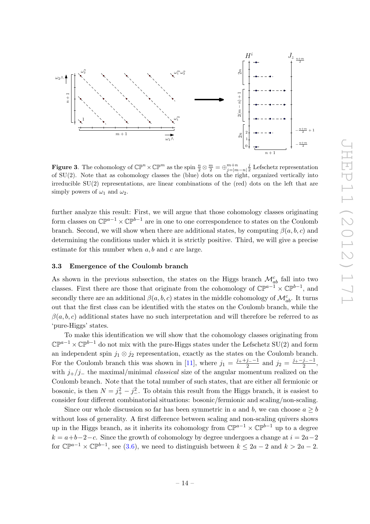

**Figure 3**. The cohomology of  $\mathbb{CP}^n \times \mathbb{CP}^m$  as the spin  $\frac{n}{2} \otimes \frac{m}{2} = \bigoplus_{j=|m-n|}^{m+n} \frac{j}{2}$  $\frac{J}{2}$  Lefschetz representation of SU(2). Note that as cohomology classes the (blue) dots on the right, organized vertically into irreducible  $SU(2)$  representations, are linear combinations of the (red) dots on the left that are simply powers of  $\omega_1$  and  $\omega_2$ .

further analyze this result: First, we will argue that those cohomology classes originating form classes on  $\mathbb{CP}^{a-1} \times \mathbb{CP}^{b-1}$  are in one to one correspondence to states on the Coulomb branch. Second, we will show when there are additional states, by computing  $\beta(a, b, c)$  and determining the conditions under which it is strictly positive. Third, we will give a precise estimate for this number when  $a, b$  and  $c$  are large.

#### <span id="page-15-0"></span>3.3 Emergence of the Coulomb branch

As shown in the previous subsection, the states on the Higgs branch  $\mathcal{M}_{ab}^c$  fall into two classes. First there are those that originate from the cohomology of  $\mathbb{CP}^{a-1} \times \mathbb{CP}^{b-1}$ , and secondly there are an additional  $\beta(a, b, c)$  states in the middle cohomology of  $\mathcal{M}_{ab}^c$ . It turns out that the first class can be identified with the states on the Coulomb branch, while the  $\beta(a, b, c)$  additional states have no such interpretation and will therefore be referred to as 'pure-Higgs' states.

To make this identification we will show that the cohomology classes originating from  $\mathbb{CP}^{a-1} \times \mathbb{CP}^{b-1}$  do not mix with the pure-Higgs states under the Lefschetz SU(2) and form an independent spin  $j_1 \otimes j_2$  representation, exactly as the states on the Coulomb branch. For the Coulomb branch this was shown in [\[11\]](#page-35-9), where  $j_1 = \frac{j_+ + j_- - 1}{2}$  and  $j_2 = \frac{j_+ - j_- - 1}{2}$ , with  $j_{+}/j_{-}$  the maximal/minimal *classical* size of the angular momentum realized on the Coulomb branch. Note that the total number of such states, that are either all fermionic or bosonic, is then  $N = j_+^2 - j_-^2$ . To obtain this result from the Higgs branch, it is easiest to consider four different combinatorial situations: bosonic/fermionic and scaling/non-scaling.

Since our whole discussion so far has been symmetric in a and b, we can choose  $a \ge b$ without loss of generality. A first difference between scaling and non-scaling quivers shows up in the Higgs branch, as it inherits its cohomology from  $\mathbb{CP}^{a-1} \times \mathbb{CP}^{b-1}$  up to a degree  $k = a+b-2-c$ . Since the growth of cohomology by degree undergoes a change at  $i = 2a-2$ for  $\mathbb{CP}^{a-1} \times \mathbb{CP}^{b-1}$ , see [\(3.6\)](#page-14-0), we need to distinguish between  $k \le 2a - 2$  and  $k > 2a - 2$ .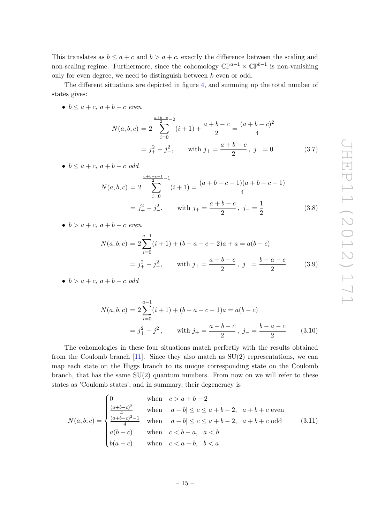This translates as  $b \le a + c$  and  $b > a + c$ , exactly the difference between the scaling and non-scaling regime. Furthermore, since the cohomology  $\mathbb{CP}^{a-1} \times \mathbb{CP}^{b-1}$  is non-vanishing only for even degree, we need to distinguish between  $k$  even or odd.

The different situations are depicted in figure [4,](#page-17-1) and summing up the total number of states gives:

•  $b \leq a + c$ ,  $a + b - c$  even

$$
N(a, b, c) = 2 \sum_{i=0}^{\frac{a+b-c}{2} - 2} (i+1) + \frac{a+b-c}{2} = \frac{(a+b-c)^2}{4}
$$
  
=  $j_+^2 - j_-^2$ , with  $j_+ = \frac{a+b-c}{2}$ ,  $j_- = 0$  (3.7)

•  $b \leq a+c$ ,  $a+b-c$  odd

$$
N(a,b,c) = 2 \sum_{i=0}^{\frac{a+b-c-1}{2} - 1} (i+1) = \frac{(a+b-c-1)(a+b-c+1)}{4}
$$
  
=  $j_+^2 - j_-^2$ , with  $j_+ = \frac{a+b-c}{2}$ ,  $j_- = \frac{1}{2}$  (3.8)

•  $b > a + c$ ,  $a + b - c$  even

$$
N(a, b, c) = 2\sum_{i=0}^{a-1} (i+1) + (b-a-c-2)a + a = a(b-c)
$$
  
=  $j_+^2 - j_-^2$ , with  $j_+ = \frac{a+b-c}{2}$ ,  $j_- = \frac{b-a-c}{2}$  (3.9)

•  $b > a + c$ ,  $a + b - c$  odd

$$
N(a, b, c) = 2\sum_{i=0}^{a-1} (i+1) + (b - a - c - 1)a = a(b - c)
$$
  
=  $j_+^2 - j_-^2$ , with  $j_+ = \frac{a+b-c}{2}$ ,  $j_- = \frac{b-a-c}{2}$  (3.10)

The cohomologies in these four situations match perfectly with the results obtained from the Coulomb branch  $[11]$ . Since they also match as  $SU(2)$  representations, we can map each state on the Higgs branch to its unique corresponding state on the Coulomb branch, that has the same  $SU(2)$  quantum numbers. From now on we will refer to these states as 'Coulomb states', and in summary, their degeneracy is

<span id="page-16-0"></span>
$$
N(a,b;c) = \begin{cases} 0 & \text{when } c > a+b-2 \\ \frac{(a+b-c)^2}{4} & \text{when } |a-b| \le c \le a+b-2, \ a+b+c \text{ even} \\ \frac{(a+b-c)^2-1}{4} & \text{when } |a-b| \le c \le a+b-2, \ a+b+c \text{ odd} \\ a(b-c) & \text{when } c < b-a, \ a < b \\ b(a-c) & \text{when } c < a-b, \ b < a \end{cases}
$$
(3.11)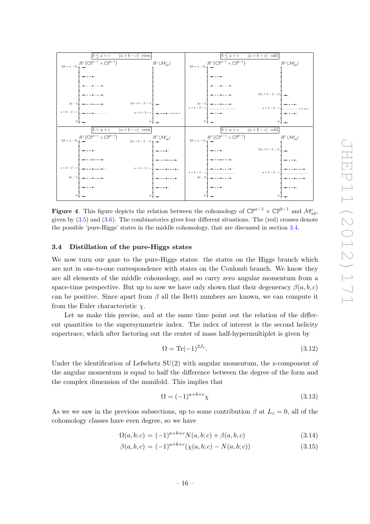

<span id="page-17-1"></span>**Figure 4.** This figure depicts the relation between the cohomology of  $\mathbb{CP}^{a-1} \times \mathbb{CP}^{b-1}$  and  $\mathcal{M}_{ab}^c$ , given by  $(3.5)$  and  $(3.6)$ . The combinatorics gives four different situations. The (red) crosses denote the possible 'pure-Higgs' states in the middle cohomology, that are discussed in section [3.4.](#page-17-0)

#### <span id="page-17-0"></span>3.4 Distillation of the pure-Higgs states

We now turn our gaze to the pure-Higgs states: the states on the Higgs branch which are not in one-to-one correspondence with states on the Coulomb branch. We know they are all elements of the middle cohomology, and so carry zero angular momentum from a space-time perspective. But up to now we have only shown that their degeneracy  $\beta(a, b, c)$ can be positive. Since apart from  $\beta$  all the Betti numbers are known, we can compute it from the Euler characteristic  $\chi$ .

Let us make this precise, and at the same time point out the relation of the different quantities to the supersymmetric index. The index of interest is the second helicity supertrace, which after factoring out the center of mass half-hypermultiplet is given by

$$
\Omega = \text{Tr}(-1)^{2J_z}.
$$
\n(3.12)

Under the identification of Lefschetz SU(2) with angular momentum, the z-component of the angular momentum is equal to half the difference between the degree of the form and the complex dimension of the manifold. This implies that

$$
\Omega = (-1)^{a+b+c} \chi \tag{3.13}
$$

As we we saw in the previous subsections, up to some contribution  $\beta$  at  $L_z = 0$ , all of the cohomology classes have even degree, so we have

$$
\Omega(a, b; c) = (-1)^{a+b+c} N(a, b; c) + \beta(a, b, c)
$$
\n(3.14)

<span id="page-17-2"></span>
$$
\beta(a, b, c) = (-1)^{a+b+c} (\chi(a, b; c) - N(a, b; c)) \tag{3.15}
$$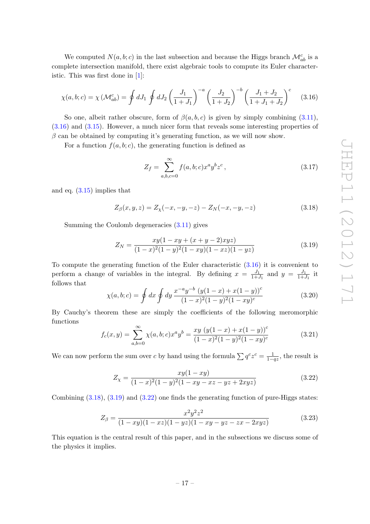We computed  $N(a, b; c)$  in the last subsection and because the Higgs branch  $\mathcal{M}_{ab}^c$  is a complete intersection manifold, there exist algebraic tools to compute its Euler characteristic. This was first done in [\[1\]](#page-35-0):

<span id="page-18-0"></span>
$$
\chi(a, b; c) = \chi \left( \mathcal{M}_{ab}^c \right) = \oint dJ_1 \oint dJ_2 \left( \frac{J_1}{1 + J_1} \right)^{-a} \left( \frac{J_2}{1 + J_2} \right)^{-b} \left( \frac{J_1 + J_2}{1 + J_1 + J_2} \right)^{c} \tag{3.16}
$$

So one, albeit rather obscure, form of  $\beta(a, b, c)$  is given by simply combining [\(3.11\)](#page-16-0), [\(3.16\)](#page-18-0) and [\(3.15\)](#page-17-2). However, a much nicer form that reveals some interesting properties of  $\beta$  can be obtained by computing it's generating function, as we will now show.

For a function  $f(a, b; c)$ , the generating function is defined as

$$
Z_f = \sum_{a,b,c=0}^{\infty} f(a,b;c)x^a y^b z^c,
$$
 (3.17)

and eq. [\(3.15\)](#page-17-2) implies that

<span id="page-18-1"></span>
$$
Z_{\beta}(x, y, z) = Z_{\chi}(-x, -y, -z) - Z_{N}(-x, -y, -z)
$$
\n(3.18)

Summing the Coulomb degeneracies [\(3.11\)](#page-16-0) gives

<span id="page-18-2"></span>
$$
Z_N = \frac{xy(1 - xy + (x + y - 2)xyz)}{(1 - x)^2(1 - y)^2(1 - xy)(1 - xz)(1 - yz)}
$$
(3.19)

To compute the generating function of the Euler characteristic [\(3.16\)](#page-18-0) it is convenient to perform a change of variables in the integral. By defining  $x = \frac{J_1}{1+x}$  $\frac{J_1}{1+J_1}$  and  $y = \frac{J_1}{1+s}$  $\frac{J_1}{1+J_1}$  it follows that

$$
\chi(a, b; c) = \oint dx \oint dy \frac{x^{-a}y^{-b} (y(1-x) + x(1-y))^c}{(1-x)^2(1-y)^2(1-xy)^c}
$$
(3.20)

By Cauchy's theorem these are simply the coefficients of the following meromorphic functions

$$
f_c(x,y) = \sum_{a,b=0}^{\infty} \chi(a,b;c)x^a y^b = \frac{xy}{(1-x)^2(1-y)^2(1-xy)^c}
$$
(3.21)

We can now perform the sum over c by hand using the formula  $\sum q^c z^c = \frac{1}{1-qz}$ , the result is

<span id="page-18-3"></span>
$$
Z_{\chi} = \frac{xy(1 - xy)}{(1 - x)^2(1 - y)^2(1 - xy - xz - yz + 2xyz)}
$$
(3.22)

Combining [\(3.18\)](#page-18-1), [\(3.19\)](#page-18-2) and [\(3.22\)](#page-18-3) one finds the generating function of pure-Higgs states:

<span id="page-18-4"></span>
$$
Z_{\beta} = \frac{x^2 y^2 z^2}{(1 - xy)(1 - xz)(1 - yz)(1 - xy - yz - zx - 2xyz)}
$$
(3.23)

This equation is the central result of this paper, and in the subsections we discuss some of the physics it implies.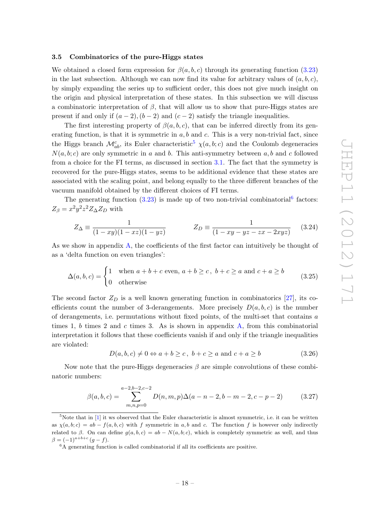## <span id="page-19-0"></span>3.5 Combinatorics of the pure-Higgs states

We obtained a closed form expression for  $\beta(a, b, c)$  through its generating function [\(3.23\)](#page-18-4) in the last subsection. Although we can now find its value for arbitrary values of  $(a, b, c)$ , by simply expanding the series up to sufficient order, this does not give much insight on the origin and physical interpretation of these states. In this subsection we will discuss a combinatoric interpretation of  $\beta$ , that will allow us to show that pure-Higgs states are present if and only if  $(a-2)$ ,  $(b-2)$  and  $(c-2)$  satisfy the triangle inequalities.

The first interesting property of  $\beta(a, b, c)$ , that can be inferred directly from its generating function, is that it is symmetric in  $a, b$  and  $c$ . This is a very non-trivial fact, since the Higgs branch  $\mathcal{M}_{ab}^c$ , its Euler characteristic<sup>[5](#page-19-1)</sup>  $\chi(a, b; c)$  and the Coulomb degeneracies  $N(a, b; c)$  are only symmetric in a and b. This anti-symmetry between a, b and c followed from a choice for the FI terms, as discussed in section [3.1.](#page-12-1) The fact that the symmetry is recovered for the pure-Higgs states, seems to be additional evidence that these states are associated with the scaling point, and belong equally to the three different branches of the vacuum manifold obtained by the different choices of FI terms.

The generating function  $(3.23)$  is made up of two non-trivial combinatorial<sup>[6](#page-19-2)</sup> factors:  $Z_{\beta} = x^2 y^2 z^2 Z_{\Delta} Z_D$  with

$$
Z_{\Delta} \equiv \frac{1}{(1 - xy)(1 - xz)(1 - yz)} \qquad Z_{D} \equiv \frac{1}{(1 - xy - yz - zx - 2xyz)} \qquad (3.24)
$$

As we show in appendix [A,](#page-30-0) the coefficients of the first factor can intuitively be thought of as a 'delta function on even triangles':

$$
\Delta(a, b, c) = \begin{cases} 1 & \text{when } a + b + c \text{ even, } a + b \ge c, \ b + c \ge a \text{ and } c + a \ge b \\ 0 & \text{otherwise} \end{cases}
$$
(3.25)

The second factor  $Z_D$  is a well known generating function in combinatorics [\[27\]](#page-36-11), its coefficients count the number of 3-derangements. More precisely  $D(a, b, c)$  is the number of derangements, i.e. permutations without fixed points, of the multi-set that contains a times 1, b times 2 and c times 3. As is shown in appendix  $A$ , from this combinatorial interpretation it follows that these coefficients vanish if and only if the triangle inequalities are violated:

$$
D(a, b, c) \neq 0 \Leftrightarrow a + b \geq c, \ b + c \geq a \text{ and } c + a \geq b \tag{3.26}
$$

Now note that the pure-Higgs degeneracies  $\beta$  are simple convolutions of these combinatoric numbers:

$$
\beta(a,b,c) = \sum_{m,n,p=0}^{a-2,b-2,c-2} D(n,m,p)\Delta(a-n-2,b-m-2,c-p-2)
$$
 (3.27)

<span id="page-19-1"></span> $5$ Note that in [\[1\]](#page-35-0) it ws observed that the Euler characteristic is almost symmetric, i.e. it can be written as  $\chi(a, b; c) = ab - f(a, b, c)$  with f symmetric in a, b and c. The function f is however only indirectly related to β. On can define  $g(a, b, c) = ab - N(a, b; c)$ , which is completely symmetric as well, and thus  $\beta = (-1)^{a+b+c} (g-f).$ 

<span id="page-19-2"></span> ${}^{6}$ A generating function is called combinatorial if all its coefficients are positive.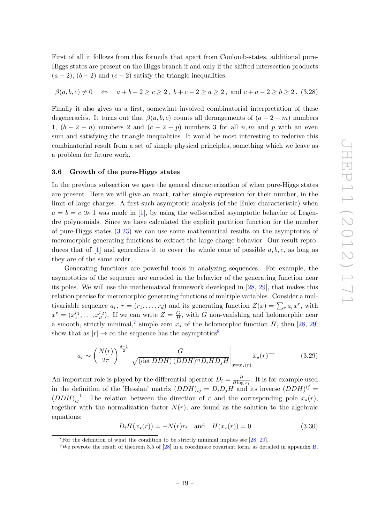First of all it follows from this formula that apart from Coulomb-states, additional pure-Higgs states are present on the Higgs branch if and only if the shifted intersection products  $(a-2)$ ,  $(b-2)$  and  $(c-2)$  satisfy the triangle inequalities:

$$
\beta(a, b, c) \neq 0
$$
  $\Leftrightarrow$   $a + b - 2 \ge c \ge 2$ ,  $b + c - 2 \ge a \ge 2$ , and  $c + a - 2 \ge b \ge 2$ . (3.28)

Finally it also gives us a first, somewhat involved combinatorial interpretation of these degeneracies. It turns out that  $\beta(a, b, c)$  counts all derangements of  $(a - 2 - m)$  numbers 1,  $(b-2-n)$  numbers 2 and  $(c-2-p)$  numbers 3 for all n, m and p with an even sum and satisfying the triangle inequalities. It would be most interesting to rederive this combinatorial result from a set of simple physical principles, something which we leave as a problem for future work.

#### <span id="page-20-0"></span>3.6 Growth of the pure-Higgs states

In the previous subsection we gave the general characterization of when pure-Higgs states are present. Here we will give an exact, rather simple expression for their number, in the limit of large charges. A first such asymptotic analysis (of the Euler characteristic) when  $a = b = c \gg 1$  was made in [\[1\]](#page-35-0), by using the well-studied asymptotic behavior of Legendre polynomials. Since we have calculated the explicit partition function for the number of pure-Higgs states [\(3.23\)](#page-18-4) we can use some mathematical results on the asymptotics of meromorphic generating functions to extract the large-charge behavior. Our result reproduces that of  $[1]$  and generalizes it to cover the whole cone of possible  $a, b, c$ , as long as they are of the same order.

Generating functions are powerful tools in analyzing sequences. For example, the asymptotics of the sequence are encoded in the behavior of the generating function near its poles. We will use the mathematical framework developed in [\[28,](#page-36-12) [29\]](#page-36-13), that makes this relation precise for meromorphic generating functions of multiple variables. Consider a multivariable sequence  $a_r$ ,  $r = (r_1, \ldots, r_d)$  and its generating function  $Z(x) = \sum_r a_r x^r$ , with  $x^r = (x_1^{r_1}, \ldots, x_d^{r_d})$ . If we can write  $Z = \frac{G}{H}$  $\frac{G}{H}$ , with G non-vanishing and holomorphic near a smooth, strictly minimal,<sup>[7](#page-20-1)</sup> simple zero  $x_{\star}$  of the holomorphic function H, then [\[28,](#page-36-12) [29\]](#page-36-13) show that as  $|r| \to \infty$  the sequence has the asymptotics<sup>[8](#page-20-2)</sup>

<span id="page-20-4"></span>
$$
a_r \sim \left(\frac{N(r)}{2\pi}\right)^{\frac{d-1}{2}} \frac{G}{\sqrt{\left(\det DDH\right) (DDH)^{ij} D_i H D_j H}} \Big|_{x=x_\star(r)} x_\star(r)^{-r} \tag{3.29}
$$

An important role is played by the differential operator  $D_i = \frac{\delta}{\partial \log n}$  $\frac{\partial}{\partial \log x_i}$ . It is for example used in the definition of the 'Hessian' matrix  $(DDH)_{ij} = D_i D_j H$  and its inverse  $(DDH)^{ij} =$  $(DDH)^{-1}_{ij}$ . The relation between the direction of r and the corresponding pole  $x_{\star}(r)$ , together with the normalization factor  $N(r)$ , are found as the solution to the algebraic equations:

<span id="page-20-3"></span>
$$
D_i H(x_\star(r)) = -N(r)r_i \quad \text{and} \quad H(x_\star(r)) = 0 \tag{3.30}
$$

<span id="page-20-1"></span><sup>&</sup>lt;sup>7</sup>For the definition of what the condition to be strictly minimal implies see  $[28, 29]$  $[28, 29]$ .

<span id="page-20-2"></span><sup>&</sup>lt;sup>8</sup>We rewrote the result of theorem 3.5 of [\[28\]](#page-36-12) in a coordinate covariant form, as detailed in appendix [B.](#page-32-0)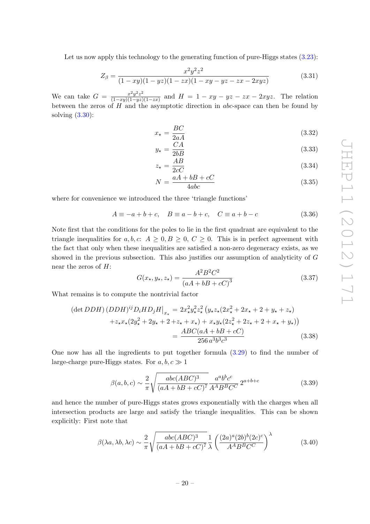Let us now apply this technology to the generating function of pure-Higgs states  $(3.23)$ :

$$
Z_{\beta} = \frac{x^2 y^2 z^2}{(1 - xy)(1 - yz)(1 - zx)(1 - xy - yz - zx - 2xyz)}
$$
(3.31)

We can take  $G = \frac{x^2 y^2 z^2}{(1 - xy)(1 - yz)}$  $\frac{x-y}{(1-xy)(1-yz)(1-zx)}$  and  $H = 1 - xy - yz - zx - 2xyz$ . The relation between the zeros of  $H$  and the asymptotic direction in abc-space can then be found by solving  $(3.30)$ :

$$
x_{\star} = \frac{BC}{2aA} \tag{3.32}
$$

$$
y_{\star} = \frac{CA}{2bB} \tag{3.33}
$$

$$
z_{\star} = \frac{AB}{2cC} \tag{3.34}
$$

$$
N = \frac{aA + bB + cC}{4abc} \tag{3.35}
$$

where for convenience we introduced the three 'triangle functions'

$$
A \equiv -a + b + c, \quad B \equiv a - b + c, \quad C \equiv a + b - c \tag{3.36}
$$

Note first that the conditions for the poles to lie in the first quadrant are equivalent to the triangle inequalities for  $a, b, c: A \geq 0, B \geq 0, C \geq 0$ . This is in perfect agreement with the fact that only when these inequalities are satisfied a non-zero degeneracy exists, as we showed in the previous subsection. This also justifies our assumption of analyticity of G near the zeros of  $H$ :

$$
G(x_{\star}, y_{\star}, z_{\star}) = \frac{A^2 B^2 C^2}{(aA + bB + cC)^3}
$$
\n(3.37)

What remains is to compute the nontrivial factor

$$
(\det DDH) (DDH)^{ij} D_i HD_j H \big|_{x_\star} = 2x_\star^2 y_\star^2 z_\star^2 \left( y_\star z_\star (2x_\star^2 + 2x_\star + 2 + y_\star + z_\star) + z_\star x_\star (2y_\star^2 + 2y_\star + 2 + z_\star + x_\star) + x_\star y_\star (2z_\star^2 + 2z_\star + 2 + x_\star + y_\star) \right)
$$
  
= 
$$
\frac{ABC(aA + bB + cC)}{256 a^3 b^3 c^3} \tag{3.38}
$$

One now has all the ingredients to put together formula [\(3.29\)](#page-20-4) to find the number of large-charge pure-Higgs states. For  $a, b, c \gg 1$ 

$$
\beta(a, b, c) \sim \frac{2}{\pi} \sqrt{\frac{abc(ABC)^3}{(aA + bB + cC)^7} \frac{a^a b^b c^c}{A^A B^B C^C}} 2^{a+b+c}
$$
\n(3.39)

and hence the number of pure-Higgs states grows exponentially with the charges when all intersection products are large and satisfy the triangle inequalities. This can be shown explicitly: First note that

$$
\beta(\lambda a, \lambda b, \lambda c) \sim \frac{2}{\pi} \sqrt{\frac{abc(ABC)^3}{(aA + bB + cC)^7}} \frac{1}{\lambda} \left(\frac{(2a)^a (2b)^b (2c)^c}{A^A B^B C^C}\right)^{\lambda}
$$
(3.40)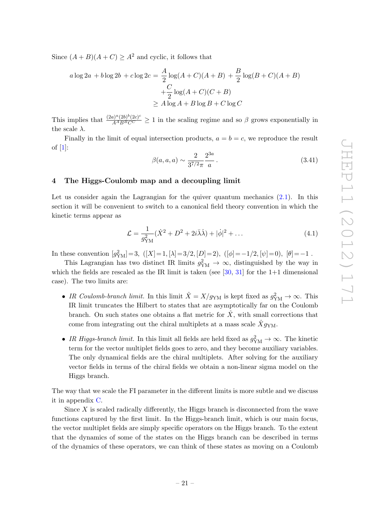Since  $(A + B)(A + C) \ge A^2$  and cyclic, it follows that

$$
a \log 2a + b \log 2b + c \log 2c = \frac{A}{2} \log(A + C)(A + B) + \frac{B}{2} \log(B + C)(A + B) + \frac{C}{2} \log(A + C)(C + B) \ge A \log A + B \log B + C \log C
$$

This implies that  $\frac{(2a)^a(2b)^b(2c)^c}{A^A B^B C^C} \ge 1$  in the scaling regime and so  $\beta$  grows exponentially in the scale  $\lambda$ .

Finally in the limit of equal intersection products,  $a = b = c$ , we reproduce the result of [\[1\]](#page-35-0):

$$
\beta(a, a, a) \sim \frac{2}{3^{7/2}\pi} \frac{2^{3a}}{a} \,. \tag{3.41}
$$

# <span id="page-22-0"></span>4 The Higgs-Coulomb map and a decoupling limit

Let us consider again the Lagrangian for the quiver quantum mechanics  $(2.1)$ . In this section it will be convenient to switch to a canonical field theory convention in which the kinetic terms appear as

$$
\mathcal{L} = \frac{1}{g_{\rm YM}^2} (\dot{X}^2 + D^2 + 2i\bar{\lambda}\dot{\lambda}) + |\dot{\phi}|^2 + \dots
$$
 (4.1)

In these convention  $[g_{\text{YM}}^2] = 3$ ,  $([X] = 1, [\lambda] = 3/2, [D] = 2)$ ,  $([\phi] = -1/2, [\psi] = 0)$ ,  $[\theta] = -1$ .

This Lagrangian has two distinct IR limits  $g_{YM}^2 \to \infty$ , distinguished by the way in which the fields are rescaled as the IR limit is taken (see  $[30, 31]$  $[30, 31]$  for the 1+1 dimensional case). The two limits are:

- IR Coulomb-branch limit. In this limit  $\hat{X} = X/g_{\text{YM}}$  is kept fixed as  $g_{\text{YM}}^2 \to \infty$ . This IR limit truncates the Hilbert to states that are asymptotically far on the Coulomb branch. On such states one obtains a flat metric for  $X$ , with small corrections that come from integrating out the chiral multiplets at a mass scale  $\hat{X}g_{\text{YM}}$ .
- IR Higgs-branch limit. In this limit all fields are held fixed as  $g_{\text{YM}}^2 \to \infty$ . The kinetic term for the vector multiplet fields goes to zero, and they become auxiliary variables. The only dynamical fields are the chiral multiplets. After solving for the auxiliary vector fields in terms of the chiral fields we obtain a non-linear sigma model on the Higgs branch.

The way that we scale the FI parameter in the different limits is more subtle and we discuss it in appendix [C.](#page-33-0)

Since  $X$  is scaled radically differently, the Higgs branch is disconnected from the wave functions captured by the first limit. In the Higgs-branch limit, which is our main focus, the vector multiplet fields are simply specific operators on the Higgs branch. To the extent that the dynamics of some of the states on the Higgs branch can be described in terms of the dynamics of these operators, we can think of these states as moving on a Coulomb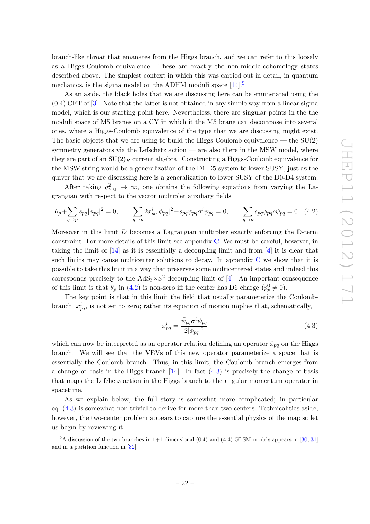branch-like throat that emanates from the Higgs branch, and we can refer to this loosely as a Higgs-Coulomb equivalence. These are exactly the non-middle-cohomology states described above. The simplest context in which this was carried out in detail, in quantum mechanics, is the sigma model on the ADHM moduli space [\[14\]](#page-36-2).<sup>[9](#page-23-0)</sup>

As an aside, the black holes that we are discussing here can be enumerated using the  $(0,4)$  CFT of [\[3\]](#page-35-2). Note that the latter is not obtained in any simple way from a linear sigma model, which is our starting point here. Nevertheless, there are singular points in the the moduli space of M5 branes on a CY in which it the M5 brane can decompose into several ones, where a Higgs-Coulomb equivalence of the type that we are discussing might exist. The basic objects that we are using to build the Higgs-Coulomb equivalence — the  $SU(2)$ symmetry generators via the Lefschetz action — are also there in the MSW model, where they are part of an  $SU(2)_R$  current algebra. Constructing a Higgs-Coulomb equivalence for the MSW string would be a generalization of the D1-D5 system to lower SUSY, just as the quiver that we are discussing here is a generalization to lower SUSY of the D0-D4 system.

After taking  $g_{\text{YM}}^2 \to \infty$ , one obtains the following equations from varying the Lagrangian with respect to the vector multiplet auxiliary fields

<span id="page-23-1"></span>
$$
\theta_p + \sum_{q \to p} s_{pq} |\phi_{pq}|^2 = 0, \qquad \sum_{q \to p} 2x_{pq}^i |\phi_{pq}|^2 + s_{pq} \bar{\psi}_{pq} \sigma^i \psi_{pq} = 0, \qquad \sum_{q \to p} s_{pq} \bar{\phi}_{pq} \epsilon \psi_{pq} = 0.
$$
 (4.2)

Moreover in this limit  $D$  becomes a Lagrangian multiplier exactly enforcing the D-term constraint. For more details of this limit see appendix [C.](#page-33-0) We must be careful, however, in taking the limit of  $[14]$  as it is essentially a decoupling limit and from  $[4]$  it is clear that such limits may cause multicenter solutions to decay. In appendix  $C$  we show that it is possible to take this limit in a way that preserves some multicentered states and indeed this corresponds precisely to the  $AdS_3 \times S^2$  decoupling limit of [\[4\]](#page-35-3). An important consequence of this limit is that  $\theta_p$  in [\(4.2\)](#page-23-1) is non-zero iff the center has D6 charge  $(p_p^0 \neq 0)$ .

The key point is that in this limit the field that usually parameterize the Coulombbranch,  $x_{pq}^i$ , is not set to zero; rather its equation of motion implies that, schematically,

<span id="page-23-2"></span>
$$
x_{pq}^i = \frac{\bar{\psi}_{pq}\sigma^i\psi_{pq}}{2|\phi_{pq}|^2} \tag{4.3}
$$

which can now be interpreted as an operator relation defining an operator  $\hat{x}_{pq}$  on the Higgs branch. We will see that the VEVs of this new operator parameterize a space that is essentially the Coulomb branch. Thus, in this limit, the Coulomb branch emerges from a change of basis in the Higgs branch  $[14]$ . In fact  $(4.3)$  is precisely the change of basis that maps the Lefchetz action in the Higgs branch to the angular momentum operator in spacetime.

As we explain below, the full story is somewhat more complicated; in particular eq. [\(4.3\)](#page-23-2) is somewhat non-trivial to derive for more than two centers. Technicalities aside, however, the two-center problem appears to capture the essential physics of the map so let us begin by reviewing it.

<span id="page-23-0"></span><sup>&</sup>lt;sup>9</sup>A discussion of the two branches in 1+1 dimensional  $(0,4)$  and  $(4,4)$  GLSM models appears in [\[30,](#page-36-14) [31\]](#page-36-15) and in a partition function in [\[32\]](#page-37-0).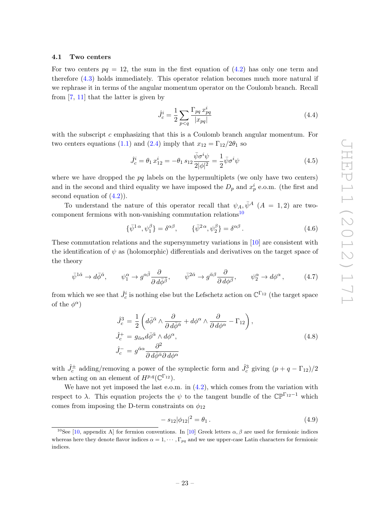#### <span id="page-24-0"></span>4.1 Two centers

For two centers  $pq = 12$ , the sum in the first equation of  $(4.2)$  has only one term and therefore [\(4.3\)](#page-23-2) holds immediately. This operator relation becomes much more natural if we rephrase it in terms of the angular momentum operator on the Coulomb branch. Recall from [\[7,](#page-35-10) [11\]](#page-35-9) that the latter is given by

$$
\hat{J}_c^i = \frac{1}{2} \sum_{p < q} \frac{\Gamma_{pq} x_{pq}^i}{|x_{pq}|} \tag{4.4}
$$

with the subscript  $c$  emphasizing that this is a Coulomb branch angular momentum. For two centers equations [\(1.1\)](#page-4-1) and [\(2.4\)](#page-11-1) imply that  $x_{12} = \Gamma_{12}/2\theta_1$  so

$$
\hat{J}_c^i = \theta_1 x_{12}^i = -\theta_1 s_{12} \frac{\bar{\psi} \sigma^i \psi}{2|\phi|^2} = \frac{1}{2} \bar{\psi} \sigma^i \psi \tag{4.5}
$$

where we have dropped the  $pq$  labels on the hypermultiplets (we only have two centers) and in the second and third equality we have imposed the  $D_p$  and  $x_p^i$  e.o.m. (the first and second equation of  $(4.2)$ .

To understand the nature of this operator recall that  $\psi_A$ ,  $\bar{\psi}^A$  (A = 1, 2) are two-component fermions with non-vanishing commutation relations<sup>[10](#page-24-1)</sup>

$$
\{\bar{\psi}^{1\,\alpha},\psi_1^{\beta}\} = \delta^{\alpha\beta}, \qquad \{\bar{\psi}^{2\,\alpha},\psi_2^{\beta}\} = \delta^{\alpha\beta}.
$$
 (4.6)

These commutation relations and the supersymmetry variations in [\[10\]](#page-35-8) are consistent with the identification of  $\psi$  as (holomorphic) differentials and derivatives on the target space of the theory

$$
\bar{\psi}^{1\bar{\alpha}} \to d\bar{\phi}^{\bar{\alpha}}, \qquad \psi_1^{\alpha} \to g^{\alpha\bar{\beta}} \frac{\partial}{\partial d\bar{\phi}^{\bar{\beta}}}, \qquad \bar{\psi}^{2\bar{\alpha}} \to g^{\bar{\alpha}\beta} \frac{\partial}{\partial d\phi^{\beta}}, \qquad \psi_2^{\alpha} \to d\phi^{\alpha}, \tag{4.7}
$$

from which we see that  $\hat{J}_c^i$  is nothing else but the Lefschetz action on  $\mathbb{C}^{\Gamma_{12}}$  (the target space of the  $\phi^{\alpha}$ )

$$
\hat{J}_c^3 = \frac{1}{2} \left( d\bar{\phi}^{\bar{\alpha}} \wedge \frac{\partial}{\partial d\bar{\phi}^{\bar{\alpha}}} + d\phi^{\alpha} \wedge \frac{\partial}{\partial d\phi^{\alpha}} - \Gamma_{12} \right),
$$
  
\n
$$
\hat{J}_c^+ = g_{\bar{\alpha}\alpha} d\bar{\phi}^{\bar{\alpha}} \wedge d\phi^{\alpha},
$$
  
\n
$$
\hat{J}_c^- = g^{\bar{\alpha}\alpha} \frac{\partial^2}{\partial d\bar{\phi}^{\bar{\alpha}} \partial d\phi^{\alpha}}
$$
\n(4.8)

with  $\hat{J}_c^{\pm}$  adding/removing a power of the symplectic form and  $\hat{J}_c^3$  giving  $(p+q-\Gamma_{12})/2$ when acting on an element of  $H^{p,q}(\mathbb{C}^{\Gamma_{12}})$ .

We have not yet imposed the last e.o.m. in  $(4.2)$ , which comes from the variation with respect to  $\lambda$ . This equation projects the  $\psi$  to the tangent bundle of the  $\mathbb{CP}^{\Gamma_{12}-1}$  which comes from imposing the D-term constraints on  $\phi_{12}$ 

$$
- s_{12} |\phi_{12}|^2 = \theta_1. \tag{4.9}
$$

<span id="page-24-1"></span><sup>&</sup>lt;sup>10</sup>See [\[10,](#page-35-8) appendix A] for fermion conventions. In [\[10\]](#page-35-8) Greek letters  $\alpha, \beta$  are used for fermionic indices whereas here they denote flavor indices  $\alpha = 1, \dots, \Gamma_{pq}$  and we use upper-case Latin characters for fermionic indices.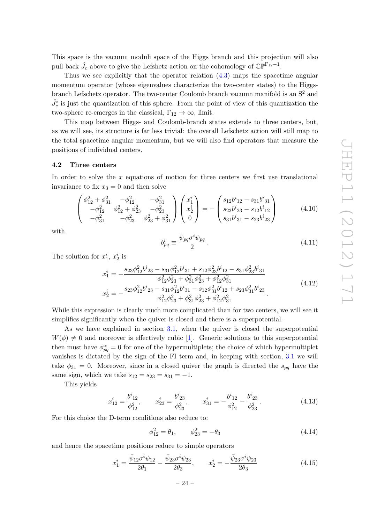This space is the vacuum moduli space of the Higgs branch and this projection will also pull back  $\hat{J}_c$  above to give the Lefshetz action on the cohomology of  $\mathbb{CP}^{\Gamma_{12}-1}$ .

Thus we see explicitly that the operator relation [\(4.3\)](#page-23-2) maps the spacetime angular momentum operator (whose eigenvalues characterize the two-center states) to the Higgsbranch Lefschetz operator. The two-center Coulomb branch vacuum manifold is an  $S<sup>2</sup>$  and  $\hat{J}_c^i$  is just the quantization of this sphere. From the point of view of this quantization the two-sphere re-emerges in the classical,  $\Gamma_{12} \rightarrow \infty$ , limit.

This map between Higgs- and Coulomb-branch states extends to three centers, but, as we will see, its structure is far less trivial: the overall Lefschetz action will still map to the total spacetime angular momentum, but we will also find operators that measure the positions of individual centers.

#### <span id="page-25-0"></span>4.2 Three centers

In order to solve the  $x$  equations of motion for three centers we first use translational invariance to fix  $x_3 = 0$  and then solve

$$
\begin{pmatrix}\n\phi_{12}^2 + \phi_{31}^2 & -\phi_{12}^2 & -\phi_{31}^2 \\
-\phi_{12}^2 & \phi_{12}^2 + \phi_{23}^2 & -\phi_{23}^2 \\
-\phi_{31}^2 & -\phi_{23}^2 & \phi_{23}^2 + \phi_{31}^2\n\end{pmatrix}\n\begin{pmatrix}\nx_1^i \\
x_2^i \\
0\n\end{pmatrix} = -\begin{pmatrix}\ns_{12}b^i{}_{12} - s_{31}b^i{}_{31} \\
s_{23}b^i{}_{23} - s_{12}b^i{}_{12} \\
s_{31}b^i{}_{31} - s_{23}b^i{}_{23}\n\end{pmatrix}
$$
\n(4.10)

with

$$
b_{pq}^i \equiv \frac{\bar{\psi}_{pq}\sigma^i\psi_{pq}}{2} \,. \tag{4.11}
$$

The solution for  $x_1^i, x_2^i$  is

$$
x_1^i = -\frac{s_{23}\phi_{12}^2 b^i{}_{23} - s_{31}\phi_{12}^2 b^i{}_{31} + s_{12}\phi_{23}^2 b^i{}_{12} - s_{31}\phi_{23}^2 b^i{}_{31}}{\phi_{12}^2 \phi_{23}^2 + \phi_{31}^2 \phi_{23}^2 + \phi_{12}^2 \phi_{31}^2}
$$
\n
$$
x_2^i = -\frac{s_{23}\phi_{12}^2 b^i{}_{23} - s_{31}\phi_{12}^2 b^i{}_{31} - s_{12}\phi_{31}^2 b^i{}_{12} + s_{23}\phi_{31}^2 b^i{}_{23}}{\phi_{12}^2 \phi_{23}^2 + \phi_{31}^2 \phi_{23}^2 + \phi_{12}^2 \phi_{31}^2}.
$$
\n(4.12)

While this expression is clearly much more complicated than for two centers, we will see it simplifies significantly when the quiver is closed and there is a superpotential.

As we have explained in section [3.1,](#page-12-1) when the quiver is closed the superpotential  $W(\phi) \neq 0$  and moreover is effectively cubic [\[1\]](#page-35-0). Generic solutions to this superpotential then must have  $\phi_{pq}^{\alpha} = 0$  for one of the hypermultiplets; the choice of which hypermultiplet vanishes is dictated by the sign of the FI term and, in keeping with section, [3.1](#page-12-1) we will take  $\phi_{31} = 0$ . Moreover, since in a closed quiver the graph is directed the  $s_{pq}$  have the same sign, which we take  $s_{12} = s_{23} = s_{31} = -1$ .

This yields

$$
x_{12}^i = \frac{b^i_{12}}{\phi_{12}^2}, \qquad x_{23}^i = \frac{b^i_{23}}{\phi_{23}^2}, \qquad x_{31}^i = -\frac{b^i_{12}}{\phi_{12}^2} - \frac{b^i_{23}}{\phi_{23}^2}.
$$
 (4.13)

For this choice the D-term conditions also reduce to:

$$
\phi_{12}^2 = \theta_1, \qquad \phi_{23}^2 = -\theta_3 \tag{4.14}
$$

and hence the spacetime positions reduce to simple operators

<span id="page-25-1"></span>
$$
x_1^i = \frac{\bar{\psi}_{12}\sigma^i\psi_{12}}{2\theta_1} - \frac{\bar{\psi}_{23}\sigma^i\psi_{23}}{2\theta_3}, \qquad x_2^i = -\frac{\bar{\psi}_{23}\sigma^i\psi_{23}}{2\theta_3}
$$
(4.15)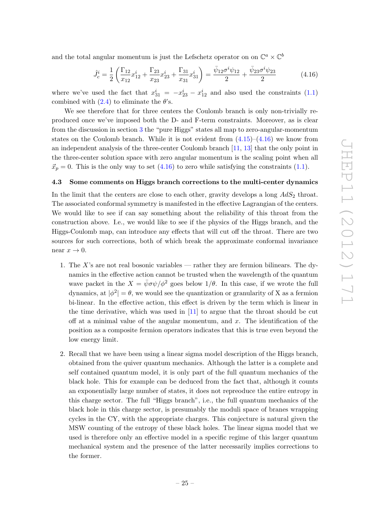and the total angular momentum is just the Lefschetz operator on on  $\mathbb{C}^a \times \mathbb{C}^b$ 

<span id="page-26-1"></span>
$$
\hat{J}_c^i = \frac{1}{2} \left( \frac{\Gamma_{12}}{x_{12}} x_{12}^i + \frac{\Gamma_{23}}{x_{23}} x_{23}^i + \frac{\Gamma_{31}}{x_{31}} x_{31}^i \right) = \frac{\bar{\psi}_{12} \sigma^i \psi_{12}}{2} + \frac{\bar{\psi}_{23} \sigma^i \psi_{23}}{2} \tag{4.16}
$$

where we've used the fact that  $x_{31}^i = -x_{23}^i - x_{12}^i$  and also used the constraints [\(1.1\)](#page-4-1) combined with  $(2.4)$  to eliminate the  $\theta$ 's.

We see therefore that for three centers the Coulomb branch is only non-trivially reproduced once we've imposed both the D- and F-term constraints. Moreover, as is clear from the discussion in section [3](#page-12-0) the "pure Higgs" states all map to zero-angular-momentum states on the Coulomb branch. While it is not evident from  $(4.15)-(4.16)$  $(4.15)-(4.16)$  we know from an independent analysis of the three-center Coulomb branch [\[11,](#page-35-9) [13\]](#page-36-1) that the only point in the three-center solution space with zero angular momentum is the scaling point when all  $\vec{x}_p = 0$ . This is the only way to set [\(4.16\)](#page-26-1) to zero while satisfying the constraints [\(1.1\)](#page-4-1).

## <span id="page-26-0"></span>4.3 Some comments on Higgs branch corrections to the multi-center dynamics

In the limit that the centers are close to each other, gravity develops a long  $AdS_2$  throat. The associated conformal symmetry is manifested in the effective Lagrangian of the centers. We would like to see if can say something about the reliability of this throat from the construction above. I.e., we would like to see if the physics of the Higgs branch, and the Higgs-Coulomb map, can introduce any effects that will cut off the throat. There are two sources for such corrections, both of which break the approximate conformal invariance near  $x \to 0$ .

- 1. The X's are not real bosonic variables rather they are fermion bilinears. The dynamics in the effective action cannot be trusted when the wavelength of the quantum wave packet in the  $X = \bar{\psi} \sigma \psi / \phi^2$  goes below  $1/\theta$ . In this case, if we wrote the full dynamics, at  $|\phi^2| = \theta$ , we would see the quantization or granularity of X as a fermion bi-linear. In the effective action, this effect is driven by the term which is linear in the time derivative, which was used in [\[11\]](#page-35-9) to argue that the throat should be cut off at a minimal value of the angular momentum, and  $x$ . The identification of the position as a composite fermion operators indicates that this is true even beyond the low energy limit.
- 2. Recall that we have been using a linear sigma model description of the Higgs branch, obtained from the quiver quantum mechanics. Although the latter is a complete and self contained quantum model, it is only part of the full quantum mechanics of the black hole. This for example can be deduced from the fact that, although it counts an exponentially large number of states, it does not repreoduce the entire entropy in this charge sector. The full "Higgs branch", i.e., the full quantum mechanics of the black hole in this charge sector, is presumably the moduli space of branes wrapping cycles in the CY, with the appropriate charges. This conjecture is natural given the MSW counting of the entropy of these black holes. The linear sigma model that we used is therefore only an effective model in a specific regime of this larger quantum mechanical system and the presence of the latter necessarily implies corrections to the former.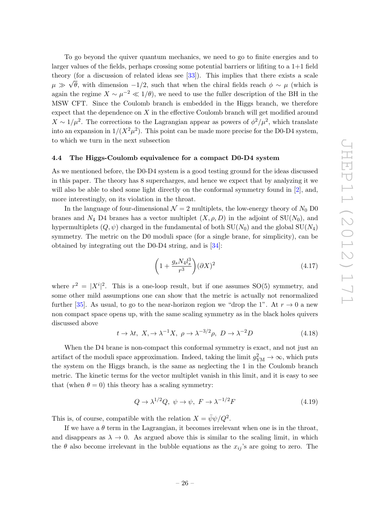To go beyond the quiver quantum mechanics, we need to go to finite energies and to larger values of the fields, perhaps crossing some potential barriers or lifiting to a  $1+1$  field theory (for a discussion of related ideas see [\[33\]](#page-37-1)). This implies that there exists a scale  $\mu \gg \sqrt{\theta}$ , with dimension -1/2, such that when the chiral fields reach  $\phi \sim \mu$  (which is again the regime  $X \sim \mu^{-2} \ll 1/\theta$ , we need to use the fuller description of the BH in the MSW CFT. Since the Coulomb branch is embedded in the Higgs branch, we therefore expect that the dependence on  $X$  in the effective Coulomb branch will get modified around  $X \sim 1/\mu^2$ . The corrections to the Lagrangian appear as powers of  $\phi^2/\mu^2$ , which translate into an expansion in  $1/(X^2\mu^2)$ . This point can be made more precise for the D0-D4 system, to which we turn in the next subsection

#### <span id="page-27-0"></span>4.4 The Higgs-Coulomb equivalence for a compact D0-D4 system

As we mentioned before, the D0-D4 system is a good testing ground for the ideas discussed in this paper. The theory has 8 supercharges, and hence we expect that by analyzing it we will also be able to shed some light directly on the conformal symmetry found in [\[2\]](#page-35-1), and, more interestingly, on its violation in the throat.

In the language of four-dimensional  $\mathcal{N} = 2$  multiplets, the low-energy theory of  $N_0$  D0 branes and  $N_4$  D4 branes has a vector multiplet  $(X, \rho, D)$  in the adjoint of SU( $N_0$ ), and hypermultiplets  $(Q, \psi)$  charged in the fundamental of both  $SU(N_0)$  and the global  $SU(N_4)$ symmetry. The metric on the D0 moduli space (for a single brane, for simplicity), can be obtained by integrating out the D0-D4 string, and is [\[34\]](#page-37-2):

$$
\left(1 + \frac{g_s N_4 l_s^3}{r^3}\right) (\partial X)^2 \tag{4.17}
$$

where  $r^2 = |X^i|^2$ . This is a one-loop result, but if one assumes SO(5) symmetry, and some other mild assumptions one can show that the metric is actually not renormalized further [\[35\]](#page-37-3). As usual, to go to the near-horizon region we "drop the 1". At  $r \to 0$  a new non compact space opens up, with the same scaling symmetry as in the black holes quivers discussed above

$$
t \to \lambda t, \ X, \to \lambda^{-1} X, \ \rho \to \lambda^{-3/2} \rho, \ D \to \lambda^{-2} D \tag{4.18}
$$

When the D4 brane is non-compact this conformal symmetry is exact, and not just an artifact of the moduli space approximation. Indeed, taking the limit  $g_{\text{YM}}^2 \to \infty$ , which puts the system on the Higgs branch, is the same as neglecting the 1 in the Coulomb branch metric. The kinetic terms for the vector multiplet vanish in this limit, and it is easy to see that (when  $\theta = 0$ ) this theory has a scaling symmetry:

 $Q \to \lambda^{1/2} Q, \ \psi \to \psi, \ F \to \lambda^{-1/2} F$ (4.19)

This is, of course, compatible with the relation  $X = \bar{\psi}\psi/Q^2$ .

If we have a  $\theta$  term in the Lagrangian, it becomes irrelevant when one is in the throat, and disappears as  $\lambda \to 0$ . As argued above this is similar to the scaling limit, in which the  $\theta$  also become irrelevant in the bubble equations as the  $x_{ij}$ 's are going to zero. The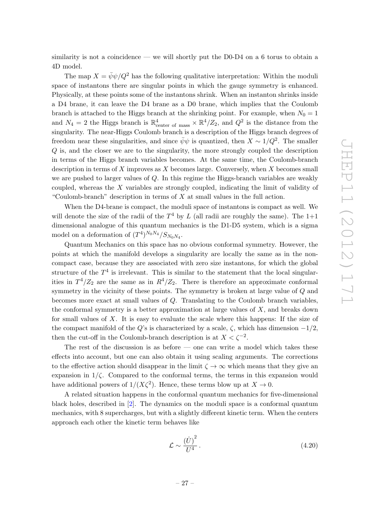similarity is not a coincidence — we will shortly put the  $D0-D4$  on a 6 torus to obtain a 4D model.

The map  $X = \bar{\psi}\psi/Q^2$  has the following qualitative interpretation: Within the moduli space of instantons there are singular points in which the gauge symmetry is enhanced. Physically, at these points some of the instantons shrink. When an instanton shrinks inside a D4 brane, it can leave the D4 brane as a D0 brane, which implies that the Coulomb branch is attached to the Higgs branch at the shrinking point. For example, when  $N_0 = 1$ and  $N_4 = 2$  the Higgs branch is  $\mathbb{R}^4_{\text{center of mass}} \times \mathbb{R}^4/\mathbb{Z}_2$ , and  $Q^2$  is the distance from the singularity. The near-Higgs Coulomb branch is a description of the Higgs branch degrees of freedom near these singularities, and since  $\bar{\psi}\psi$  is quantized, then  $X \sim 1/Q^2$ . The smaller Q is, and the closer we are to the singularity, the more strongly coupled the description in terms of the Higgs branch variables becomes. At the same time, the Coulomb-branch description in terms of  $X$  improves as  $X$  becomes large. Conversely, when  $X$  becomes small we are pushed to larger values of Q. In this regime the Higgs-branch variables are weakly coupled, whereas the X variables are strongly coupled, indicating the limit of validity of "Coulomb-branch" description in terms of  $X$  at small values in the full action.

When the D4-brane is compact, the moduli space of instantons is compact as well. We will denote the size of the radii of the  $T^4$  by L (all radii are roughly the same). The 1+1 dimensional analogue of this quantum mechanics is the D1-D5 system, which is a sigma model on a deformation of  $(T^4)^{N_0 N_4}/S_{N_0 N_4}$ .

Quantum Mechanics on this space has no obvious conformal symmetry. However, the points at which the manifold develops a singularity are locally the same as in the noncompact case, because they are associated with zero size instantons, for which the global structure of the  $T^4$  is irrelevant. This is similar to the statement that the local singularities in  $T^4/Z_2$  are the same as in  $R^4/Z_2$ . There is therefore an approximate conformal symmetry in the vicinity of these points. The symmetry is broken at large value of Q and becomes more exact at small values of Q. Translating to the Coulomb branch variables, the conformal symmetry is a better approximation at large values of  $X$ , and breaks down for small values of  $X$ . It is easy to evaluate the scale where this happens: If the size of the compact manifold of the Q's is characterized by a scale,  $\zeta$ , which has dimension  $-1/2$ , then the cut-off in the Coulomb-branch description is at  $X < \zeta^{-2}$ .

The rest of the discussion is as before — one can write a model which takes these effects into account, but one can also obtain it using scaling arguments. The corrections to the effective action should disappear in the limit  $\zeta \to \infty$  which means that they give an expansion in  $1/\zeta$ . Compared to the conformal terms, the terms in this expansion would have additional powers of  $1/(X\zeta^2)$ . Hence, these terms blow up at  $X \to 0$ .

A related situation happens in the conformal quantum mechanics for five-dimensional black holes, described in [\[2\]](#page-35-1). The dynamics on the moduli space is a conformal quantum mechanics, with 8 supercharges, but with a slightly different kinetic term. When the centers approach each other the kinetic term behaves like

$$
\mathcal{L} \sim \frac{(\dot{U})^2}{U^4} \,. \tag{4.20}
$$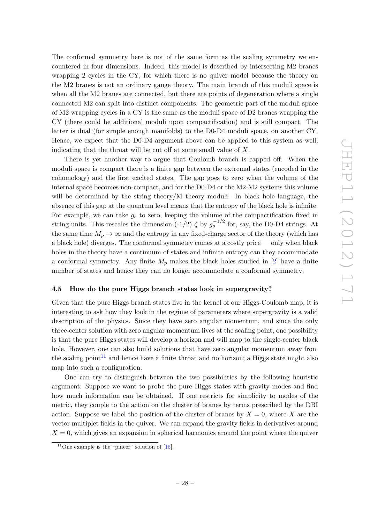The conformal symmetry here is not of the same form as the scaling symmetry we encountered in four dimensions. Indeed, this model is described by intersecting M2 branes wrapping 2 cycles in the CY, for which there is no quiver model because the theory on the M2 branes is not an ordinary gauge theory. The main branch of this moduli space is when all the M2 branes are connected, but there are points of degeneration where a single connected M2 can split into distinct components. The geometric part of the moduli space of M2 wrapping cycles in a CY is the same as the moduli space of D2 branes wrapping the CY (there could be additional moduli upon compactification) and is still compact. The latter is dual (for simple enough manifolds) to the D0-D4 moduli space, on another CY. Hence, we expect that the D0-D4 argument above can be applied to this system as well, indicating that the throat will be cut off at some small value of X.

There is yet another way to argue that Coulomb branch is capped off. When the moduli space is compact there is a finite gap between the extremal states (encoded in the cohomology) and the first excited states. The gap goes to zero when the volume of the internal space becomes non-compact, and for the D0-D4 or the M2-M2 systems this volume will be determined by the string theory/M theory moduli. In black hole language, the absence of this gap at the quantum level means that the entropy of the black hole is infinite. For example, we can take  $g_s$  to zero, keeping the volume of the compactification fixed in string units. This rescales the dimension  $(-1/2) \zeta$  by  $g_s^{-1/2}$  for, say, the D0-D4 strings. At the same time  $M_p \to \infty$  and the entropy in any fixed-charge sector of the theory (which has a black hole) diverges. The conformal symmetry comes at a costly price — only when black holes in the theory have a continuum of states and infinite entropy can they accommodate a conformal symmetry. Any finite  $M_p$  makes the black holes studied in [\[2\]](#page-35-1) have a finite number of states and hence they can no longer accommodate a conformal symmetry.

# <span id="page-29-0"></span>4.5 How do the pure Higgs branch states look in supergravity?

Given that the pure Higgs branch states live in the kernel of our Higgs-Coulomb map, it is interesting to ask how they look in the regime of parameters where supergravity is a valid description of the physics. Since they have zero angular momentum, and since the only three-center solution with zero angular momentum lives at the scaling point, one possibility is that the pure Higgs states will develop a horizon and will map to the single-center black hole. However, one can also build solutions that have zero angular momentum away from the scaling point<sup>[11](#page-29-1)</sup> and hence have a finite throat and no horizon; a Higgs state might also map into such a configuration.

One can try to distinguish between the two possibilities by the following heuristic argument: Suppose we want to probe the pure Higgs states with gravity modes and find how much information can be obtained. If one restricts for simplicity to modes of the metric, they couple to the action on the cluster of branes by terms prescribed by the DBI action. Suppose we label the position of the cluster of branes by  $X = 0$ , where X are the vector multiplet fields in the quiver. We can expand the gravity fields in derivatives around  $X = 0$ , which gives an expansion in spherical harmonics around the point where the quiver

<span id="page-29-1"></span> $11$ One example is the "pincer" solution of [\[15\]](#page-36-3).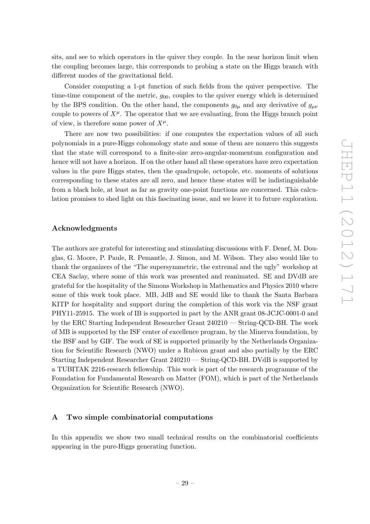sits, and see to which operators in the quiver they couple. In the near horizon limit when the coupling becomes large, this corresponds to probing a state on the Higgs branch with different modes of the gravitational field.

Consider computing a 1-pt function of such fields from the quiver perspective. The time-time component of the metric,  $g_{00}$ , couples to the quiver energy which is determined by the BPS condition. On the other hand, the components  $g_{0\mu}$  and any derivative of  $g_{\mu\nu}$ couple to powers of  $X^{\mu}$ . The operator that we are evaluating, from the Higgs branch point of view, is therefore some power of  $X^{\mu}$ .

There are now two possibilities: if one computes the expectation values of all such polynomials in a pure-Higgs cohomology state and some of them are nonzero this suggests that the state will correspond to a finite-size zero-angular-momentum configuration and hence will not have a horizon. If on the other hand all these operators have zero expectation values in the pure Higgs states, then the quadrupole, octopole, etc. moments of solutions corresponding to these states are all zero, and hence these states will be indistinguishable from a black hole, at least as far as gravity one-point functions are concerned. This calculation promises to shed light on this fascinating issue, and we leave it to future exploration.

# Acknowledgments

The authors are grateful for interesting and stimulating discussions with F. Denef, M. Douglas, G. Moore, P. Paule, R. Pemantle, J. Simon, and M. Wilson. They also would like to thank the organizers of the "The supersymmetric, the extremal and the ugly" workshop at CEA Saclay, where some of this work was presented and reanimated. SE and DVdB are grateful for the hospitality of the Simons Workshop in Mathematics and Physics 2010 where some of this work took place. MB, JdB and SE would like to thank the Santa Barbara KITP for hospitality and support during the completion of this work via the NSF grant PHY11-25915. The work of IB is supported in part by the ANR grant 08-JCJC-0001-0 and by the ERC Starting Independent Researcher Grant 240210 — String-QCD-BH. The work of MB is supported by the ISF center of excellence program, by the Minerva foundation, by the BSF and by GIF. The work of SE is supported primarily by the Netherlands Organization for Scientific Research (NWO) under a Rubicon grant and also partially by the ERC Starting Independent Researcher Grant 240210 — String-QCD-BH. DVdB is supported by a TUBITAK 2216-research fellowship. This work is part of the research programme of the Foundation for Fundamental Research on Matter (FOM), which is part of the Netherlands Organization for Scientific Research (NWO).

## <span id="page-30-0"></span>A Two simple combinatorial computations

In this appendix we show two small technical results on the combinatorial coefficients appearing in the pure-Higgs generating function.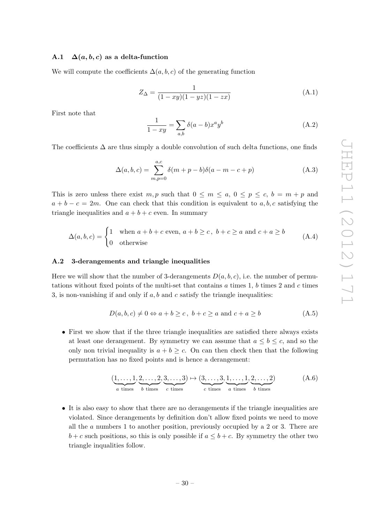# <span id="page-31-0"></span>A.1  $\Delta(a, b, c)$  as a delta-function

We will compute the coefficients  $\Delta(a, b, c)$  of the generating function

$$
Z_{\Delta} = \frac{1}{(1 - xy)(1 - yz)(1 - zx)}
$$
(A.1)

First note that

$$
\frac{1}{1-xy} = \sum_{a,b} \delta(a-b)x^a y^b \tag{A.2}
$$

The coefficients  $\Delta$  are thus simply a double convolution of such delta functions, one finds

$$
\Delta(a, b, c) = \sum_{m, p=0}^{a, c} \delta(m + p - b)\delta(a - m - c + p)
$$
 (A.3)

This is zero unless there exist  $m, p$  such that  $0 \le m \le a, 0 \le p \le c, b = m + p$  and  $a + b - c = 2m$ . One can check that this condition is equivalent to a, b, c satisfying the triangle inequalities and  $a + b + c$  even. In summary

$$
\Delta(a, b, c) = \begin{cases} 1 & \text{when } a + b + c \text{ even, } a + b \ge c, \ b + c \ge a \text{ and } c + a \ge b \\ 0 & \text{otherwise} \end{cases}
$$
(A.4)

#### <span id="page-31-1"></span>A.2 3-derangements and triangle inequalities

Here we will show that the number of 3-derangements  $D(a, b, c)$ , i.e. the number of permutations without fixed points of the multi-set that contains  $a$  times 1,  $b$  times 2 and  $c$  times 3, is non-vanishing if and only if  $a, b$  and c satisfy the triangle inequalities:

$$
D(a, b, c) \neq 0 \Leftrightarrow a + b \geq c, \ b + c \geq a \text{ and } c + a \geq b \tag{A.5}
$$

• First we show that if the three triangle inequalities are satisfied there always exists at least one derangement. By symmetry we can assume that  $a \leq b \leq c$ , and so the only non trivial inequality is  $a + b \geq c$ . On can then check then that the following permutation has no fixed points and is hence a derangement:

$$
(\underbrace{1, \ldots, 1}_{a \text{ times}}, \underbrace{2, \ldots, 2}_{b \text{ times}}, \underbrace{3, \ldots, 3}_{c \text{ times}}) \mapsto (\underbrace{3, \ldots, 3}_{c \text{ times}}, \underbrace{1, \ldots, 1}_{a \text{ times}}, \underbrace{2, \ldots, 2}_{b \text{ times}})
$$
(A.6)

• It is also easy to show that there are no derangements if the triangle inequalities are violated. Since derangements by definition don't allow fixed points we need to move all the a numbers 1 to another position, previously occupied by a 2 or 3. There are  $b + c$  such positions, so this is only possible if  $a \leq b + c$ . By symmetry the other two triangle inqualities follow.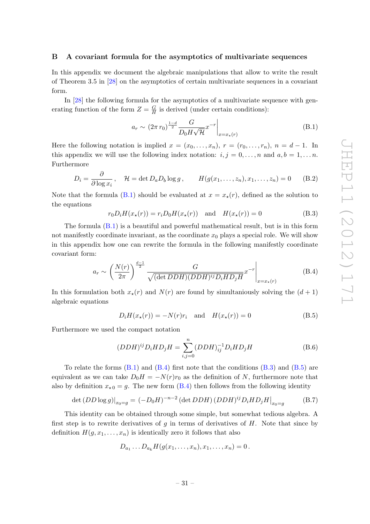## <span id="page-32-0"></span>B A covariant formula for the asymptotics of multivariate sequences

In this appendix we document the algebraic manipulations that allow to write the result of Theorem 3.5 in [\[28\]](#page-36-12) on the asymptotics of certain multivariate sequences in a covariant form.

In [\[28\]](#page-36-12) the following formula for the asymptotics of a multivariate sequence with generating function of the form  $Z = \frac{G}{H}$  $\frac{G}{H}$  is derived (under certain conditions):

<span id="page-32-1"></span>
$$
a_r \sim (2\pi r_0)^{\frac{1-d}{2}} \frac{G}{D_0 H \sqrt{\mathcal{H}}} x^{-r} \bigg|_{x=x_\star(r)}
$$
(B.1)

Here the following notation is implied  $x = (x_0, \ldots, x_n), r = (r_0, \ldots, r_n), n = d - 1$ . In this appendix we will use the following index notation:  $i, j = 0, \ldots, n$  and  $a, b = 1, \ldots, n$ . Furthermore

$$
D_i = \frac{\partial}{\partial \log x_i}, \quad \mathcal{H} = \det D_a D_b \log g, \qquad H(g(x_1, \dots, z_n), x_1, \dots, z_n) = 0 \quad (B.2)
$$

Note that the formula [\(B.1\)](#page-32-1) should be evaluated at  $x = x_{\star}(r)$ , defined as the solution to the equations

<span id="page-32-3"></span>
$$
r_0 D_i H(x_\star(r)) = r_i D_0 H(x_\star(r)) \quad \text{and} \quad H(x_\star(r)) = 0 \tag{B.3}
$$

The formula [\(B.1\)](#page-32-1) is a beautiful and powerful mathematical result, but is in this form not manifestly coordinate invariant, as the coordinate  $x_0$  plays a special role. We will show in this appendix how one can rewrite the formula in the following manifestly coordinate covariant form:

<span id="page-32-2"></span>
$$
a_r \sim \left(\frac{N(r)}{2\pi}\right)^{\frac{d-1}{2}} \frac{G}{\sqrt{(\det DDH)(DDH)^{ij}D_iHD_jH}} x^{-r} \Big|_{x=x_*(r)}
$$
(B.4)

In this formulation both  $x_{\star}(r)$  and  $N(r)$  are found by simultaniously solving the  $(d+1)$ algebraic equations

<span id="page-32-4"></span>
$$
D_i H(x_\star(r)) = -N(r)r_i \quad \text{and} \quad H(x_\star(r)) = 0 \tag{B.5}
$$

Furthermore we used the compact notation

$$
(DDH)^{ij}D_iHD_jH = \sum_{i,j=0}^{n} (DDH)^{-1}_{ij}D_iHD_jH
$$
 (B.6)

To relate the forms  $(B.1)$  and  $(B.4)$  first note that the conditions  $(B.3)$  and  $(B.5)$  are equivalent as we can take  $D_0H = -N(r)r_0$  as the definition of N, furthermore note that also by definition  $x_{\star 0} = g$ . The new form [\(B.4\)](#page-32-2) then follows from the following identity

<span id="page-32-5"></span>
$$
\det (DD \log g)|_{x_0=g} = (-D_0 H)^{-n-2} (\det DDH) (DDH)^{ij} D_i HD_j H|_{x_0=g}
$$
 (B.7)

This identity can be obtained through some simple, but somewhat tedious algebra. A first step is to rewrite derivatives of g in terms of derivatives of  $H$ . Note that since by definition  $H(g, x_1, \ldots, x_n)$  is identically zero it follows that also

$$
D_{a_1} \dots D_{a_k} H(g(x_1, \dots, x_n), x_1, \dots, x_n) = 0.
$$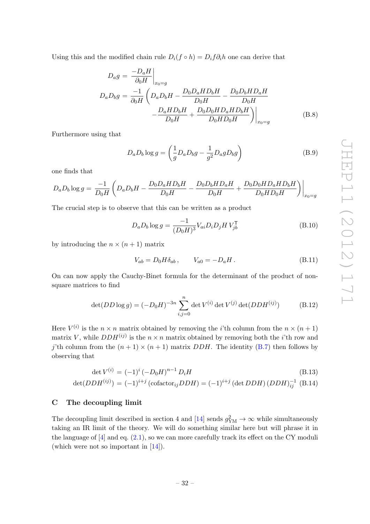Using this and the modified chain rule  $D_i(f \circ h) = D_i f \partial_i h$  one can derive that

$$
D_a g = \frac{-D_a H}{\partial_0 H}\Big|_{x_0 = g}
$$
  
\n
$$
D_a D_b g = \frac{-1}{\partial_0 H} \left( D_a D_b H - \frac{D_0 D_a H D_b H}{D_0 H} - \frac{D_0 D_b H D_a H}{D_0 H} - \frac{D_a H D_b H}{D_0 H} + \frac{D_0 D_0 H D_a H D_b H}{D_0 H D_0 H} \right)\Big|_{x_0 = g}
$$
(B.8)

Furthermore using that

$$
D_a D_b \log g = \left(\frac{1}{g} D_a D_b g - \frac{1}{g^2} D_a g D_b g\right)
$$
(B.9)

one finds that

$$
D_a D_b \log g = \frac{-1}{D_0 H} \left( D_a D_b H - \frac{D_0 D_a H D_b H}{D_0 H} - \frac{D_0 D_b H D_a H}{D_0 H} + \frac{D_0 D_0 H D_a H D_b H}{D_0 H D_0 H} \right)\Big|_{x_0 = g}
$$

The crucial step is to observe that this can be written as a product

$$
D_a D_b \log g = \frac{-1}{(D_0 H)^3} V_{ai} D_i D_j H V_{jb}^\mathsf{T}
$$
 (B.10)

by introducing the  $n \times (n + 1)$  matrix

$$
V_{ab} = D_0 H \delta_{ab} , \qquad V_{a0} = -D_a H . \tag{B.11}
$$

On can now apply the Cauchy-Binet formula for the determinant of the product of nonsquare matrices to find

$$
\det(DD \log g) = (-D_0 H)^{-3n} \sum_{i,j=0}^{n} \det V^{(i)} \det V^{(j)} \det(DDH^{(ij)})
$$
(B.12)

Here  $V^{(i)}$  is the  $n \times n$  matrix obtained by removing the *i*'th column from the  $n \times (n+1)$ matrix V, while  $DDH^{(ij)}$  is the  $n \times n$  matrix obtained by removing both the *i*'th row and j'th column from the  $(n + 1) \times (n + 1)$  matrix *DDH*. The identity [\(B.7\)](#page-32-5) then follows by observing that

$$
\det V^{(i)} = (-1)^i (-D_0 H)^{n-1} D_i H \tag{B.13}
$$

$$
\det(DDH^{(ij)}) = (-1)^{i+j} (\operatorname{cofactor}_{ij} DDH) = (-1)^{i+j} (\det DDH) (DDH)_{ij}^{-1} (B.14)
$$

# <span id="page-33-0"></span>C The decoupling limit

The decoupling limit described in section 4 and [\[14\]](#page-36-2) sends  $g_{\text{YM}}^2 \to \infty$  while simultaneously taking an IR limit of the theory. We will do something similar here but will phrase it in the language of  $[4]$  and eq.  $(2.1)$ , so we can more carefully track its effect on the CY moduli (which were not so important in [\[14\]](#page-36-2)).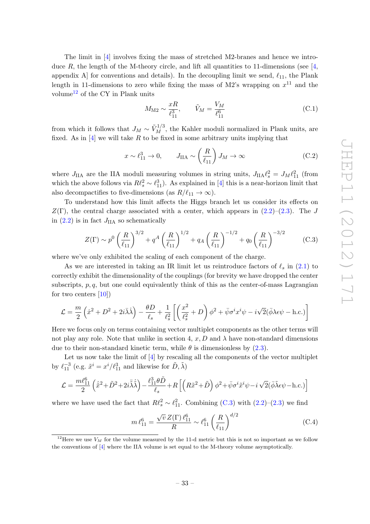The limit in [\[4\]](#page-35-3) involves fixing the mass of stretched M2-branes and hence we introduce  $R$ , the length of the M-theory circle, and lift all quantities to 11-dimensions (see [\[4,](#page-35-3) appendix A] for conventions and details). In the decoupling limit we send,  $\ell_{11}$ , the Plank length in 11-dimensions to zero while fixing the mass of M2's wrapping on  $x^{11}$  and the volume<sup>[12](#page-34-0)</sup> of the CY in Plank units

$$
M_{\rm M2} \sim \frac{xR}{\ell_{11}^3}, \qquad \tilde{V}_M = \frac{V_M}{\ell_{11}^6} \tag{C.1}
$$

from which it follows that  $J_M \sim \tilde{V}_M^{1/3}$ , the Kahler moduli normalized in Plank units, are fixed. As in  $[4]$  we will take  $R$  to be fixed in some arbitrary units implying that

$$
x \sim \ell_{11}^3 \to 0, \qquad J_{\text{IIA}} \sim \left(\frac{R}{\ell_{11}}\right) J_M \to \infty \tag{C.2}
$$

where  $J_{\text{IIA}}$  are the IIA moduli measuring volumes in string units,  $J_{\text{IIA}}\ell_s^2 = J_M\ell_{11}^2$  (from which the above follows via  $R\ell_s^2 \sim \ell_{11}^3$ ). As explained in [\[4\]](#page-35-3) this is a near-horizon limit that also decompactifies to five-dimensions (as  $R/\ell_{11} \rightarrow \infty$ ).

To understand how this limit affects the Higgs branch let us consider its effects on  $Z(\Gamma)$ , the central charge associated with a center, which appears in [\(2.2\)](#page-11-2)–[\(2.3\)](#page-11-3). The J in  $(2.2)$  is in fact  $J_{\text{IIA}}$  so schematically

<span id="page-34-1"></span>
$$
Z(\Gamma) \sim p^0 \left(\frac{R}{\ell_{11}}\right)^{3/2} + q^A \left(\frac{R}{\ell_{11}}\right)^{1/2} + q_A \left(\frac{R}{\ell_{11}}\right)^{-1/2} + q_0 \left(\frac{R}{\ell_{11}}\right)^{-3/2} \tag{C.3}
$$

where we've only exhibited the scaling of each component of the charge.

As we are interested in taking an IR limit let us reintroduce factors of  $\ell_s$  in [\(2.1\)](#page-11-0) to correctly exhibit the dimensionality of the couplings (for brevity we have dropped the center subscripts,  $p, q$ , but one could equivalently think of this as the center-of-mass Lagrangian for two centers [\[10\]](#page-35-8))

$$
\mathcal{L} = \frac{m}{2} \left( \dot{x}^2 + D^2 + 2i\bar{\lambda}\dot{\lambda} \right) - \frac{\theta D}{\ell_s} + \frac{1}{\ell_s^2} \left[ \left( \frac{x^2}{\ell_s^2} + D \right) \phi^2 + \bar{\psi} \sigma^i x^i \psi - i\sqrt{2} (\bar{\phi} \lambda \epsilon \psi - \text{h.c.}) \right]
$$

Here we focus only on terms containing vector multiplet components as the other terms will not play any role. Note that unlike in section 4, x, D and  $\lambda$  have non-standard dimensions due to their non-standard kinetic term, while  $\theta$  is dimensionless by  $(2.3)$ .

Let us now take the limit of [\[4\]](#page-35-3) by rescaling all the components of the vector multiplet by  $\ell_{11}^{-3}$  (e.g.  $\tilde{x}^i = x^i / \ell_{11}^3$  and likewise for  $\tilde{D}, \tilde{\lambda}$ )

$$
\mathcal{L} = \frac{m\ell_{11}^6}{2} \left( \dot{\tilde{x}}^2 + \tilde{D}^2 + 2i\tilde{\tilde{\lambda}} \dot{\tilde{\lambda}} \right) - \frac{\ell_{11}^3 \theta \tilde{D}}{\ell_s} + R \left[ \left( R\tilde{x}^2 + \tilde{D} \right) \phi^2 + \bar{\psi} \sigma^i \tilde{x}^i \psi - i \sqrt{2} (\bar{\phi} \tilde{\lambda} \epsilon \psi - \text{h.c.}) \right]
$$

where we have used the fact that  $R\ell_s^2 \sim \ell_{11}^2$ . Combining [\(C.3\)](#page-34-1) with [\(2.2\)](#page-11-2)–[\(2.3\)](#page-11-3) we find

$$
m \,\ell_{11}^6 = \frac{\sqrt{v} \, Z(\Gamma) \,\ell_{11}^6}{R} \sim \ell_{11}^6 \left(\frac{R}{\ell_{11}}\right)^{d/2} \tag{C.4}
$$

<span id="page-34-0"></span><sup>&</sup>lt;sup>12</sup>Here we use  $V_M$  for the volume measured by the 11-d metric but this is not so important as we follow the conventions of [\[4\]](#page-35-3) where the IIA volume is set equal to the M-theory volume asymptotically.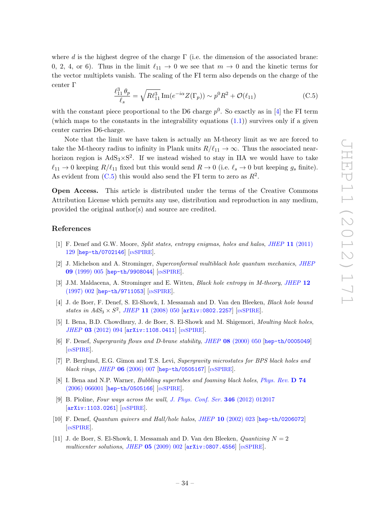where d is the highest degree of the charge  $\Gamma$  (i.e. the dimension of the associated brane: 0, 2, 4, or 6). Thus in the limit  $\ell_{11} \to 0$  we see that  $m \to 0$  and the kinetic terms for the vector multiplets vanish. The scaling of the FI term also depends on the charge of the center Γ

<span id="page-35-11"></span>
$$
\frac{\ell_{11}^3 \theta_p}{\ell_s} = \sqrt{R \ell_{11}^3} \operatorname{Im} (e^{-i\alpha} Z(\Gamma_p)) \sim p^0 R^2 + \mathcal{O}(\ell_{11})
$$
 (C.5)

with the constant piece proportional to the D6 charge  $p^0$ . So exactly as in [\[4\]](#page-35-3) the FI term (which maps to the constants in the integrability equations  $(1.1)$ ) survives only if a given center carries D6-charge.

Note that the limit we have taken is actually an M-theory limit as we are forced to take the M-theory radius to infinity in Plank units  $R/\ell_{11} \rightarrow \infty$ . Thus the associated nearhorizon region is  $AdS_3 \times S^2$ . If we instead wished to stay in IIA we would have to take  $\ell_{11} \rightarrow 0$  keeping  $R/\ell_{11}$  fixed but this would send  $R \rightarrow 0$  (i.e.  $\ell_s \rightarrow 0$  but keeping  $g_s$  finite). As evident from  $(C.5)$  this would also send the FI term to zero as  $R^2$ .

Open Access. This article is distributed under the terms of the Creative Commons Attribution License which permits any use, distribution and reproduction in any medium, provided the original author(s) and source are credited.

# References

- <span id="page-35-0"></span>[1] F. Denef and G.W. Moore, Split states, entropy enigmas, holes and halos, JHEP 11 [\(2011\)](http://dx.doi.org/10.1007/JHEP11(2011)129) [129](http://dx.doi.org/10.1007/JHEP11(2011)129) [[hep-th/0702146](http://arxiv.org/abs/hep-th/0702146)] [IN[SPIRE](http://inspirehep.net/search?p=find+EPRINT+hep-th/0702146)].
- <span id="page-35-1"></span>[2] J. Michelson and A. Strominger, Superconformal multiblack hole quantum mechanics, [JHEP](http://dx.doi.org/10.1088/1126-6708/1999/09/005) 09 [\(1999\) 005](http://dx.doi.org/10.1088/1126-6708/1999/09/005) [[hep-th/9908044](http://arxiv.org/abs/hep-th/9908044)] [IN[SPIRE](http://inspirehep.net/search?p=find+EPRINT+hep-th/9908044)].
- <span id="page-35-2"></span>[3] J.M. Maldacena, A. Strominger and E. Witten, Black hole entropy in M-theory, [JHEP](http://dx.doi.org/10.1088/1126-6708/1997/12/002) 12 [\(1997\) 002](http://dx.doi.org/10.1088/1126-6708/1997/12/002) [[hep-th/9711053](http://arxiv.org/abs/hep-th/9711053)] [IN[SPIRE](http://inspirehep.net/search?p=find+EPRINT+hep-th/9711053)].
- <span id="page-35-3"></span>[4] J. de Boer, F. Denef, S. El-Showk, I. Messamah and D. Van den Bleeken, Black hole bound states in  $AdS_3 \times S^2$ , JHEP 11 [\(2008\) 050](http://dx.doi.org/10.1088/1126-6708/2008/11/050) [[arXiv:0802.2257](http://arxiv.org/abs/0802.2257)] [IN[SPIRE](http://inspirehep.net/search?p=find+EPRINT+arXiv:0802.2257)].
- <span id="page-35-4"></span>[5] I. Bena, B.D. Chowdhury, J. de Boer, S. El-Showk and M. Shigemori, Moulting black holes, JHEP 03 [\(2012\) 094](http://dx.doi.org/10.1007/JHEP03(2012)094) [[arXiv:1108.0411](http://arxiv.org/abs/1108.0411)] [IN[SPIRE](http://inspirehep.net/search?p=find+EPRINT+arXiv:1108.0411)].
- <span id="page-35-5"></span>[6] F. Denef, Supergravity flows and D-brane stability, JHEP 08 [\(2000\) 050](http://dx.doi.org/10.1088/1126-6708/2000/08/050) [[hep-th/0005049](http://arxiv.org/abs/hep-th/0005049)] [IN[SPIRE](http://inspirehep.net/search?p=find+EPRINT+hep-th/0005049)].
- <span id="page-35-10"></span>[7] P. Berglund, E.G. Gimon and T.S. Levi, Supergravity microstates for BPS black holes and black rings, JHEP 06 [\(2006\) 007](http://dx.doi.org/10.1088/1126-6708/2006/06/007) [[hep-th/0505167](http://arxiv.org/abs/hep-th/0505167)] [IN[SPIRE](http://inspirehep.net/search?p=find+EPRINT+hep-th/0505167)].
- <span id="page-35-6"></span>[8] I. Bena and N.P. Warner, Bubbling supertubes and foaming black holes, [Phys. Rev.](http://dx.doi.org/10.1103/PhysRevD.74.066001) D 74 [\(2006\) 066001](http://dx.doi.org/10.1103/PhysRevD.74.066001) [[hep-th/0505166](http://arxiv.org/abs/hep-th/0505166)] [IN[SPIRE](http://inspirehep.net/search?p=find+EPRINT+hep-th/0505166)].
- <span id="page-35-7"></span>[9] B. Pioline, Four ways across the wall, [J. Phys. Conf. Ser.](http://dx.doi.org/10.1088/1742-6596/346/1/012017) 346 (2012) 012017 [[arXiv:1103.0261](http://arxiv.org/abs/1103.0261)] [IN[SPIRE](http://inspirehep.net/search?p=find+EPRINT+arXiv:1103.0261)].
- <span id="page-35-8"></span>[10] F. Denef, Quantum quivers and Hall/hole halos, JHEP 10 [\(2002\) 023](http://dx.doi.org/10.1088/1126-6708/2002/10/023) [[hep-th/0206072](http://arxiv.org/abs/hep-th/0206072)] [IN[SPIRE](http://inspirehep.net/search?p=find+EPRINT+hep-th/0206072)].
- <span id="page-35-9"></span>[11] J. de Boer, S. El-Showk, I. Messamah and D. Van den Bleeken, *Quantizing*  $N = 2$ multicenter solutions, JHEP  $05$  [\(2009\) 002](http://dx.doi.org/10.1088/1126-6708/2009/05/002)  $\text{arXiv:}0807.4556$  [IN[SPIRE](http://inspirehep.net/search?p=find+EPRINT+arXiv:0807.4556)].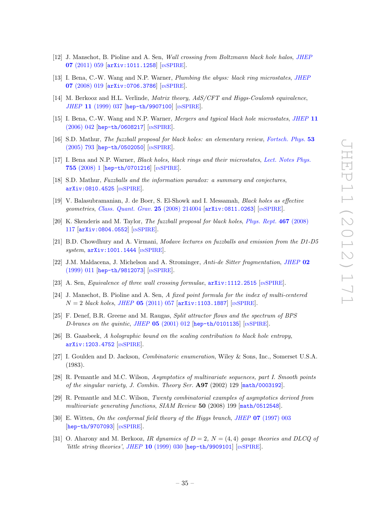- <span id="page-36-0"></span>[12] J. Manschot, B. Pioline and A. Sen, Wall crossing from Boltzmann black hole halos, [JHEP](http://dx.doi.org/10.1007/JHEP07(2011)059) 07 [\(2011\) 059](http://dx.doi.org/10.1007/JHEP07(2011)059) [[arXiv:1011.1258](http://arxiv.org/abs/1011.1258)] [IN[SPIRE](http://inspirehep.net/search?p=find+EPRINT+arXiv:1011.1258)].
- <span id="page-36-1"></span>[13] I. Bena, C.-W. Wang and N.P. Warner, Plumbing the abyss: black ring microstates, [JHEP](http://dx.doi.org/10.1088/1126-6708/2008/07/019) 07 [\(2008\) 019](http://dx.doi.org/10.1088/1126-6708/2008/07/019) [[arXiv:0706.3786](http://arxiv.org/abs/0706.3786)] [IN[SPIRE](http://inspirehep.net/search?p=find+EPRINT+arXiv:0706.3786)].
- <span id="page-36-2"></span>[14] M. Berkooz and H.L. Verlinde, *Matrix theory, AdS/CFT and Higgs-Coulomb equivalence*, JHEP 11 [\(1999\) 037](http://dx.doi.org/10.1088/1126-6708/1999/11/037) [[hep-th/9907100](http://arxiv.org/abs/hep-th/9907100)] [IN[SPIRE](http://inspirehep.net/search?p=find+EPRINT+hep-th/9907100)].
- <span id="page-36-3"></span>[15] I. Bena, C.-W. Wang and N.P. Warner, Mergers and typical black hole microstates, [JHEP](http://dx.doi.org/10.1088/1126-6708/2006/11/042) 11 [\(2006\) 042](http://dx.doi.org/10.1088/1126-6708/2006/11/042) [[hep-th/0608217](http://arxiv.org/abs/hep-th/0608217)] [IN[SPIRE](http://inspirehep.net/search?p=find+EPRINT+hep-th/0608217)].
- <span id="page-36-4"></span>[16] S.D. Mathur, The fuzzball proposal for black holes: an elementary review, [Fortsch. Phys.](http://dx.doi.org/10.1002/prop.200410203) 53 [\(2005\) 793](http://dx.doi.org/10.1002/prop.200410203) [[hep-th/0502050](http://arxiv.org/abs/hep-th/0502050)] [IN[SPIRE](http://inspirehep.net/search?p=find+EPRINT+hep-th/0502050)].
- [17] I. Bena and N.P. Warner, Black holes, black rings and their microstates, [Lect. Notes Phys.](http://dx.doi.org/10.1007/978-3-540-79523-0) 755 [\(2008\) 1](http://dx.doi.org/10.1007/978-3-540-79523-0) [[hep-th/0701216](http://arxiv.org/abs/hep-th/0701216)] [IN[SPIRE](http://inspirehep.net/search?p=find+EPRINT+hep-th/0701216)].
- [18] S.D. Mathur, Fuzzballs and the information paradox: a summary and conjectures, [arXiv:0810.4525](http://arxiv.org/abs/0810.4525) [IN[SPIRE](http://inspirehep.net/search?p=find+EPRINT+arXiv:0810.4525)].
- [19] V. Balasubramanian, J. de Boer, S. El-Showk and I. Messamah, Black holes as effective geometries, [Class. Quant. Grav.](http://dx.doi.org/10.1088/0264-9381/25/21/214004) 25 (2008) 214004 [[arXiv:0811.0263](http://arxiv.org/abs/0811.0263)] [IN[SPIRE](http://inspirehep.net/search?p=find+EPRINT+arXiv:0811.0263)].
- [20] K. Skenderis and M. Taylor, The fuzzball proposal for black holes, [Phys. Rept.](http://dx.doi.org/10.1016/j.physrep.2008.08.001) 467 (2008) [117](http://dx.doi.org/10.1016/j.physrep.2008.08.001) [[arXiv:0804.0552](http://arxiv.org/abs/0804.0552)] [IN[SPIRE](http://inspirehep.net/search?p=find+EPRINT+arXiv:0804.0552)].
- <span id="page-36-5"></span>[21] B.D. Chowdhury and A. Virmani, Modave lectures on fuzzballs and emission from the D1-D5 system, [arXiv:1001.1444](http://arxiv.org/abs/1001.1444) [IN[SPIRE](http://inspirehep.net/search?p=find+EPRINT+arXiv:1001.1444)].
- <span id="page-36-6"></span>[22] J.M. Maldacena, J. Michelson and A. Strominger, Anti-de Sitter fragmentation, [JHEP](http://dx.doi.org/10.1088/1126-6708/1999/02/011) 02 [\(1999\) 011](http://dx.doi.org/10.1088/1126-6708/1999/02/011) [[hep-th/9812073](http://arxiv.org/abs/hep-th/9812073)] [IN[SPIRE](http://inspirehep.net/search?p=find+EPRINT+hep-th/9812073)].
- <span id="page-36-7"></span>[23] A. Sen, *Equivalence of three wall crossing formulae*,  $arXiv:1112.2515$  [IN[SPIRE](http://inspirehep.net/search?p=find+EPRINT+arXiv:1112.2515)].
- <span id="page-36-8"></span>[24] J. Manschot, B. Pioline and A. Sen, A fixed point formula for the index of multi-centered  $N = 2$  black holes, JHEP 05 [\(2011\) 057](http://dx.doi.org/10.1007/JHEP05(2011)057)  $arXiv:1103.1887$  [IN[SPIRE](http://inspirehep.net/search?p=find+EPRINT+arXiv:1103.1887)].
- <span id="page-36-9"></span>[25] F. Denef, B.R. Greene and M. Raugas, Split attractor flows and the spectrum of BPS D-branes on the quintic, JHEP  $05$  [\(2001\) 012](http://dx.doi.org/10.1088/1126-6708/2001/05/012) [[hep-th/0101135](http://arxiv.org/abs/hep-th/0101135)] [IN[SPIRE](http://inspirehep.net/search?p=find+EPRINT+hep-th/0101135)].
- <span id="page-36-10"></span>[26] B. Gaasbeek, A holographic bound on the scaling contribution to black hole entropy, [arXiv:1203.4752](http://arxiv.org/abs/1203.4752) [IN[SPIRE](http://inspirehep.net/search?p=find+EPRINT+arXiv:1203.4752)].
- <span id="page-36-11"></span>[27] I. Goulden and D. Jackson, Combinatoric enumeration, Wiley & Sons, Inc., Somerset U.S.A. (1983).
- <span id="page-36-12"></span>[28] R. Pemantle and M.C. Wilson, Asymptotics of multivariate sequences, part I. Smooth points of the singular variety, J. Combin. Theory Ser. A97 (2002) 129 [[math/0003192](http://arxiv.org/abs/math/0003192)].
- <span id="page-36-13"></span>[29] R. Pemantle and M.C. Wilson, Twenty combinatorial examples of asymptotics derived from multivariate generating functions, SIAM Review 50 (2008) 199 [[math/0512548](http://arxiv.org/abs/math/0512548)].
- <span id="page-36-14"></span>[30] E. Witten, On the conformal field theory of the Higgs branch, JHEP 07 [\(1997\) 003](http://dx.doi.org/10.1088/1126-6708/1997/07/003) [[hep-th/9707093](http://arxiv.org/abs/hep-th/9707093)] [IN[SPIRE](http://inspirehep.net/search?p=find+EPRINT+hep-th/9707093)].
- <span id="page-36-15"></span>[31] O. Aharony and M. Berkooz, IR dynamics of  $D = 2$ ,  $N = (4, 4)$  gauge theories and DLCQ of *little string theories', JHEP* 10 [\(1999\) 030](http://dx.doi.org/10.1088/1126-6708/1999/10/030) [[hep-th/9909101](http://arxiv.org/abs/hep-th/9909101)] [IN[SPIRE](http://inspirehep.net/search?p=find+EPRINT+hep-th/9909101)].